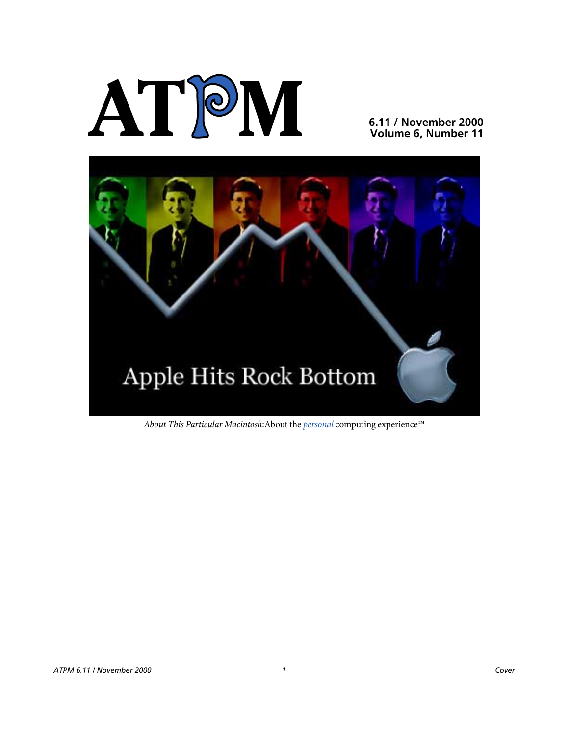# **AT**P**M**

### **6.11 / November 2000 Volume 6, Number 11**



*About This Particular Macintosh*:About the *personal* computing experience™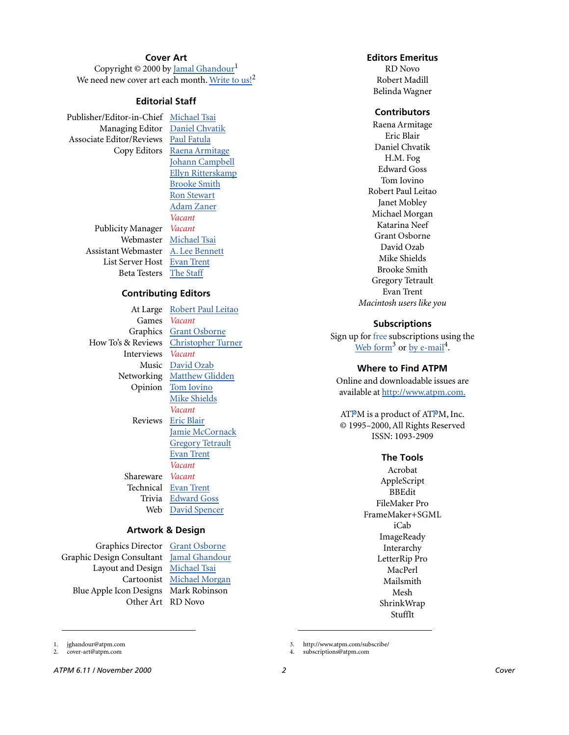### **Cover Art**

Copyright © 2000 by [Jamal Ghandour](mailto:jghandour@atpm.com)<sup>1</sup> We need new cover art each month. [Write to us!](mailto:cover-art@atpm.com)<sup>2</sup>

### **Editorial Staff**

Publisher/Editor-in-Chief [Michael Tsai](mailto:mtsai@atpm.com) Managing Editor [Daniel Chvatik](mailto:dchvatik@atpm.com) Associate Editor/Reviews [Paul Fatula](mailto:pfatula@atpm.com)

> Publicity Manager *Vacant* Webmaster [Michael Tsai](mailto:mtsai@atpm.com) Assistant Webmaster [A. Lee Bennett](mailto:lbennett@atpm.com) List Server Host [Evan Trent](mailto:etrent@atpm.com) Beta Testers [The Staff](mailto:editor@atpm.com)

Copy Editors [Raena Armitage](mailto:rarmitage@atpm.com) [Johann Campbell](mailto:jcampbell@atpm.com) [Ellyn Ritterskamp](mailto:eritterskamp@atpm.com) [Brooke Smith](mailto:bsmith@atpm.com) [Ron Stewart](mailto:rstewart@atpm.com) [Adam Zaner](mailto:azaner@atpm.com) *Vacant*

### **Contributing Editors**

Interviews *Vacant* Shareware *Vacant*

At Large Robert Paul Leitao Games *Vacant* Graphics [Grant Osborne](mailto:gosborne@atpm.com) How To's & Reviews [Christopher Turner](mailto:cturner@atpm.com) Music [David Ozab](mailto:dozab@atpm.com) Networking [Matthew Glidden](mailto:mglidden@atpm.com) Opinion [Tom Iovino](mailto:tiovino@atpm.com) [Mike Shields](mailto:mshields@atpm.com) *Vacant* Reviews [Eric Blair](mailto:eblair@atpm.com) [Jamie McCornack](mailto:jmccornack@atpm.com) **[Gregory Tetrault](mailto:gtetrault@atpm.com)** [Evan Trent](mailto:etrent@atpm.com) *Vacant* Technical [Evan Trent](mailto:etrent@atpm.com) Trivia [Edward Goss](mailto:egoss@atpm.com) Web [David Spencer](mailto:dspencer@atpm.com)

#### **Artwork & Design**

Graphics Director [Grant Osborne](mailto:gosborne@atpm.com) Graphic Design Consultant [Jamal Ghandour](mailto:jghandour@atpm.com) Layout and Design [Michael Tsai](mailto:mtsai@atpm.com) Blue Apple Icon Designs Mark Robinson Other Art RD Novo

Cartoonist [Michael Morgan](mailto:mmorgan@atpm.com)

### **Editors Emeritus**

RD Novo Robert Madill Belinda Wagner

#### **Contributors**

Raena Armitage Eric Blair Daniel Chvatik H.M. Fog Edward Goss Tom Iovino Robert Paul Leitao Janet Mobley Michael Morgan Katarina Neef Grant Osborne David Ozab Mike Shields Brooke Smith Gregory Tetrault Evan Trent *Macintosh users like you*

### **Subscriptions**

Sign up for free subscriptions using the [Web form](http://www.atpm.com/subscribe/)<sup>3</sup> or [by e-mail](mailto:subscriptions@atpm.com)<sup>4</sup>.

### **Where to Find ATPM**

Online and downloadable issues are available at [http://www.atpm.com.](http://www.atpm.com)

ATPM is a product of ATPM, Inc. © 1995–2000, All Rights Reserved ISSN: 1093-2909

### **The Tools**

Acrobat AppleScript BBEdit FileMaker Pro FrameMaker+SGML iCab **ImageReady** Interarchy LetterRip Pro MacPerl Mailsmith Mesh ShrinkWrap StuffIt

3. http://www.atpm.com/subscribe/

*ATPM 6.11 / November 2000 2 Cover*

1. jghandour@atpm.com 2. cover-art@atpm.com

<sup>4.</sup> subscriptions@atpm.com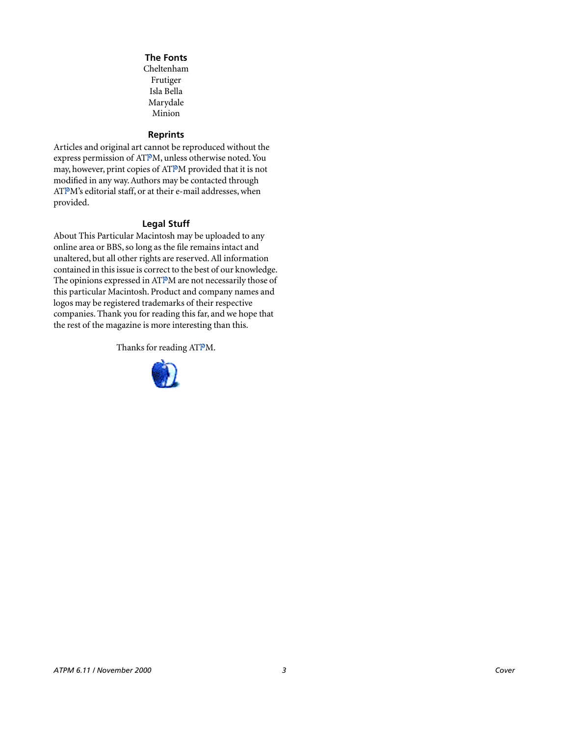### **The Fonts**

Cheltenham Frutiger Isla Bella Marydale Minion

### **Reprints**

Articles and original art cannot be reproduced without the express permission of ATPM, unless otherwise noted. You may, however, print copies of ATPM provided that it is not modified in any way. Authors may be contacted through ATPM's editorial staff, or at their e-mail addresses, when provided.

### **Legal Stuff**

About This Particular Macintosh may be uploaded to any online area or BBS, so long as the file remains intact and unaltered, but all other rights are reserved. All information contained in this issue is correct to the best of our knowledge. The opinions expressed in ATPM are not necessarily those of this particular Macintosh. Product and company names and logos may be registered trademarks of their respective companies. Thank you for reading this far, and we hope that the rest of the magazine is more interesting than this.

Thanks for reading ATPM.

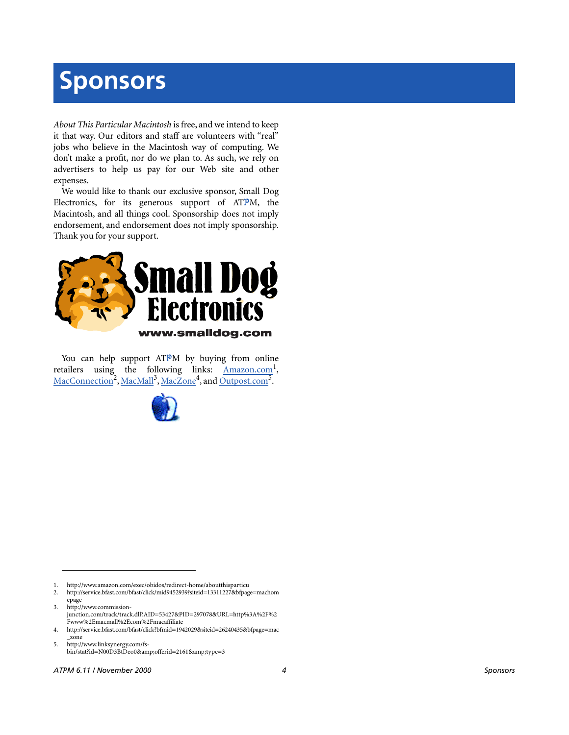# **Sponsors**

*About This Particular Macintosh* is free, and we intend to keep it that way. Our editors and staff are volunteers with "real" jobs who believe in the Macintosh way of computing. We don't make a profit, nor do we plan to. As such, we rely on advertisers to help us pay for our Web site and other expenses.

We would like to thank our exclusive sponsor, Small Dog Electronics, for its generous support of ATPM, the Macintosh, and all things cool. Sponsorship does not imply endorsement, and endorsement does not imply sponsorship. Thank you for your support.



You can help support ATPM by buying from online retailers using the following links: Amazon.com<sup>1</sup>, [MacConnection](http://service.bfast.com/bfast/click/mid9452939?siteid=13311227&bfpage=machomepage)<sup>2</sup>, [MacMall](http://www.commission-junction.com/track/track.dll?AID=53427&PID=297078&URL=http%3A%2F%2Fwww%2Emacmall%2Ecom%2Fmacaffiliate)<sup>3</sup>, [MacZone](http://service.bfast.com/bfast/click?bfmid=1942029&siteid=26240435&bfpage=mac_zone)<sup>4</sup>, and Outpost.com<sup>5</sup>.



1. http://www.amazon.com/exec/obidos/redirect-home/aboutthisparticu

2. http://service.bfast.com/bfast/click/mid9452939?siteid=13311227&bfpage=machom epage

3. http://www.commissionjunction.com/track/track.dll?AID=53427&PID=297078&URL=http%3A%2F%2 Fwww%2Emacmall%2Ecom%2Fmacaffiliate

4. http://service.bfast.com/bfast/click?bfmid=1942029&siteid=26240435&bfpage=mac \_zone

5. http://www.linksynergy.com/fsbin/stat?id=N00D3BtDeo0&offerid=2161&type=3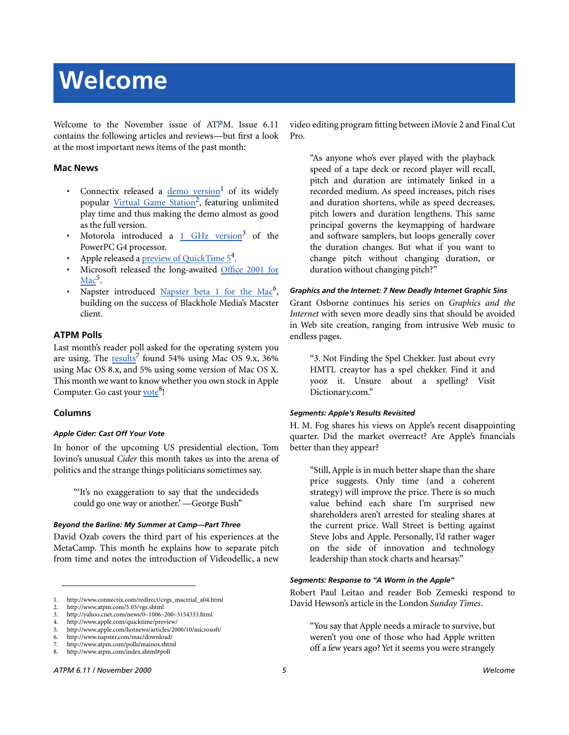# **Welcome**

Welcome to the November issue of ATPM. Issue 6.11 contains the following articles and reviews—but first a look at the most important news items of the past month:

### **Mac News**

- Connectix released a [demo version](http://www.connectix.com/redirect/cvgs_mactrial_a04.html)<sup>1</sup> of its widely popular Virtual Game Station<sup>2</sup>, featuring unlimited play time and thus making the demo almost as good as the full version.
- Motorola introduced a 1 GHz version<sup>3</sup> of the PowerPC G4 processor.
- Apple released a *preview of QuickTime 5<sup>4</sup>*.
- Microsoft released the long-awaited [Office 2001 for](http://www.apple.com/hotnews/articles/2000/10/microsoft/) Mac<sup>5</sup>.
- Napster introduced Napster beta 1 for the Mac<sup>6</sup>, building on the success of Blackhole Media's Macster client.

### **ATPM Polls**

Last month's reader poll asked for the operating system you are using. The [results](http://www.atpm.com/polls/mainos.shtml)<sup>7</sup> found 54% using Mac OS 9.x, 36% using Mac OS 8.x, and 5% using some version of Mac OS X. This month we want to know whether you own stock in Apple Computer. Go cast your vote<sup>8</sup>!

### **Columns**

### *Apple Cider: Cast Off Your Vote*

In honor of the upcoming US presidential election, Tom Iovino's unusual *Cider* this month takes us into the arena of politics and the strange things politicians sometimes say.

"'It's no exaggeration to say that the undecideds could go one way or another.' —George Bush"

### *Beyond the Barline: My Summer at Camp—Part Three*

David Ozab covers the third part of his experiences at the MetaCamp. This month he explains how to separate pitch from time and notes the introduction of Videodellic, a new video editing program fitting between iMovie 2 and Final Cut Pro.

"As anyone who's ever played with the playback speed of a tape deck or record player will recall, pitch and duration are intimately linked in a recorded medium. As speed increases, pitch rises and duration shortens, while as speed decreases, pitch lowers and duration lengthens. This same principal governs the keymapping of hardware and software samplers, but loops generally cover the duration changes. But what if you want to change pitch without changing duration, or duration without changing pitch?"

#### *Graphics and the Internet: 7 New Deadly Internet Graphic Sins*

Grant Osborne continues his series on *Graphics and the Internet* with seven more deadly sins that should be avoided in Web site creation, ranging from intrusive Web music to endless pages.

"3. Not Finding the Spel Chekker. Just about evry HMTL creaytor has a spel chekker. Find it and yooz it. Unsure about a spelling? Visit Dictionary.com."

#### *Segments: Apple's Results Revisited*

H. M. Fog shares his views on Apple's recent disappointing quarter. Did the market overreact? Are Apple's financials better than they appear?

"Still, Apple is in much better shape than the share price suggests. Only time (and a coherent strategy) will improve the price. There is so much value behind each share I'm surprised new shareholders aren't arrested for stealing shares at the current price. Wall Street is betting against Steve Jobs and Apple. Personally, I'd rather wager on the side of innovation and technology leadership than stock charts and hearsay."

#### *Segments: Response to "A Worm in the Apple"*

Robert Paul Leitao and reader Bob Zemeski respond to David Hewson's article in the London *Sunday Times*.

"You say that Apple needs a miracle to survive, but weren't you one of those who had Apple written off a few years ago? Yet it seems you were strangely

<sup>1.</sup> http://www.connectix.com/redirect/cvgs\_mactrial\_a04.html

<sup>2.</sup> http://www.atpm.com/5.03/vgs.shtml

<sup>3.</sup> http://yahoo.cnet.com/news/0–1006–200–3154333.html

<sup>4.</sup> http://www.apple.com/quicktime/preview/

<sup>5.</sup> http://www.apple.com/hotnews/articles/2000/10/microsoft/

<sup>6.</sup> http://www.napster.com/mac/download/

<sup>7.</sup> http://www.atpm.com/polls/mainos.shtml 8. http://www.atpm.com/index.shtml#poll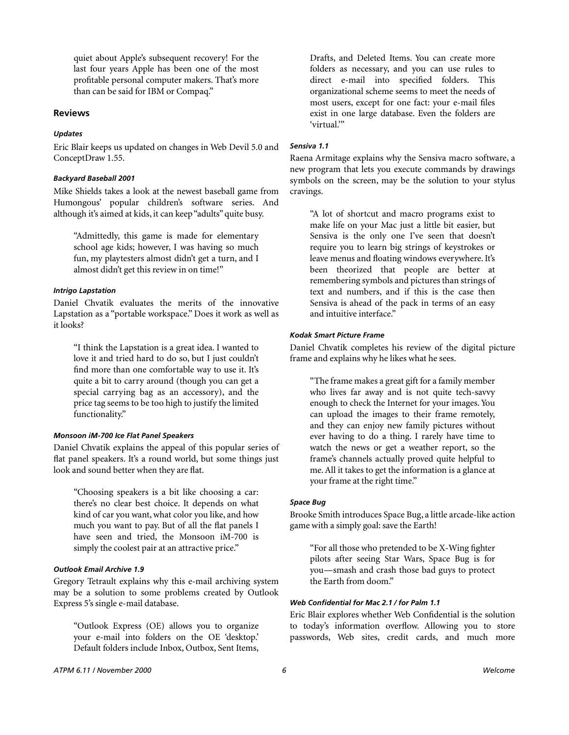quiet about Apple's subsequent recovery! For the last four years Apple has been one of the most profitable personal computer makers. That's more than can be said for IBM or Compaq."

### **Reviews**

### *Updates*

Eric Blair keeps us updated on changes in Web Devil 5.0 and ConceptDraw 1.55.

### *Backyard Baseball 2001*

Mike Shields takes a look at the newest baseball game from Humongous' popular children's software series. And although it's aimed at kids, it can keep "adults" quite busy.

"Admittedly, this game is made for elementary school age kids; however, I was having so much fun, my playtesters almost didn't get a turn, and I almost didn't get this review in on time!"

#### *Intrigo Lapstation*

Daniel Chvatik evaluates the merits of the innovative Lapstation as a "portable workspace." Does it work as well as it looks?

"I think the Lapstation is a great idea. I wanted to love it and tried hard to do so, but I just couldn't find more than one comfortable way to use it. It's quite a bit to carry around (though you can get a special carrying bag as an accessory), and the price tag seems to be too high to justify the limited functionality."

### *Monsoon iM-700 Ice Flat Panel Speakers*

Daniel Chvatik explains the appeal of this popular series of flat panel speakers. It's a round world, but some things just look and sound better when they are flat.

"Choosing speakers is a bit like choosing a car: there's no clear best choice. It depends on what kind of car you want, what color you like, and how much you want to pay. But of all the flat panels I have seen and tried, the Monsoon iM-700 is simply the coolest pair at an attractive price."

### *Outlook Email Archive 1.9*

Gregory Tetrault explains why this e-mail archiving system may be a solution to some problems created by Outlook Express 5's single e-mail database.

"Outlook Express (OE) allows you to organize your e-mail into folders on the OE 'desktop.' Default folders include Inbox, Outbox, Sent Items, Drafts, and Deleted Items. You can create more folders as necessary, and you can use rules to direct e-mail into specified folders. This organizational scheme seems to meet the needs of most users, except for one fact: your e-mail files exist in one large database. Even the folders are 'virtual<sup>"</sup>

### *Sensiva 1.1*

Raena Armitage explains why the Sensiva macro software, a new program that lets you execute commands by drawings symbols on the screen, may be the solution to your stylus cravings.

"A lot of shortcut and macro programs exist to make life on your Mac just a little bit easier, but Sensiva is the only one I've seen that doesn't require you to learn big strings of keystrokes or leave menus and floating windows everywhere. It's been theorized that people are better at remembering symbols and pictures than strings of text and numbers, and if this is the case then Sensiva is ahead of the pack in terms of an easy and intuitive interface."

### *Kodak Smart Picture Frame*

Daniel Chvatik completes his review of the digital picture frame and explains why he likes what he sees.

"The frame makes a great gift for a family member who lives far away and is not quite tech-savvy enough to check the Internet for your images. You can upload the images to their frame remotely, and they can enjoy new family pictures without ever having to do a thing. I rarely have time to watch the news or get a weather report, so the frame's channels actually proved quite helpful to me. All it takes to get the information is a glance at your frame at the right time."

#### *Space Bug*

Brooke Smith introduces Space Bug, a little arcade-like action game with a simply goal: save the Earth!

"For all those who pretended to be X-Wing fighter pilots after seeing Star Wars, Space Bug is for you—smash and crash those bad guys to protect the Earth from doom."

### *Web Confidential for Mac 2.1 / for Palm 1.1*

Eric Blair explores whether Web Confidential is the solution to today's information overflow. Allowing you to store passwords, Web sites, credit cards, and much more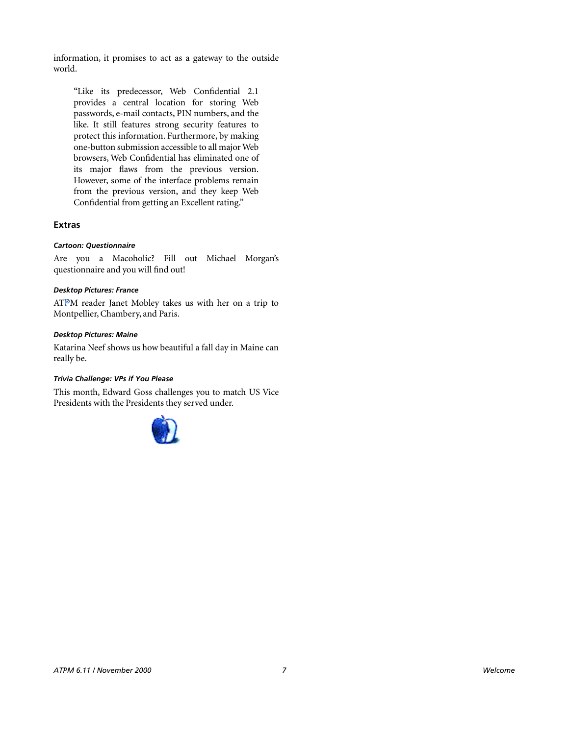information, it promises to act as a gateway to the outside world.

"Like its predecessor, Web Confidential 2.1 provides a central location for storing Web passwords, e-mail contacts, PIN numbers, and the like. It still features strong security features to protect this information. Furthermore, by making one-button submission accessible to all major Web browsers, Web Confidential has eliminated one of its major flaws from the previous version. However, some of the interface problems remain from the previous version, and they keep Web Confidential from getting an Excellent rating."

### **Extras**

### *Cartoon: Questionnaire*

Are you a Macoholic? Fill out Michael Morgan's questionnaire and you will find out!

### *Desktop Pictures: France*

ATPM reader Janet Mobley takes us with her on a trip to Montpellier, Chambery, and Paris.

### *Desktop Pictures: Maine*

Katarina Neef shows us how beautiful a fall day in Maine can really be.

### *Trivia Challenge: VPs if You Please*

This month, Edward Goss challenges you to match US Vice Presidents with the Presidents they served under.

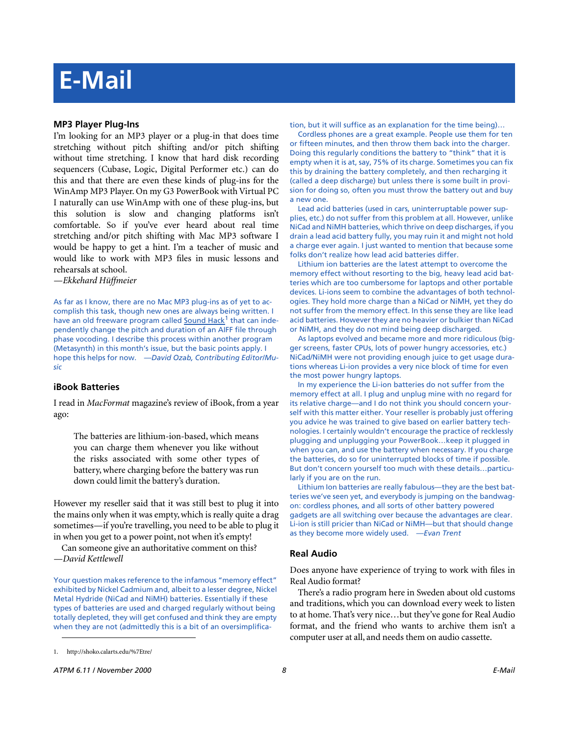## **E-Mail**

### **MP3 Player Plug-Ins**

I'm looking for an MP3 player or a plug-in that does time stretching without pitch shifting and/or pitch shifting without time stretching. I know that hard disk recording sequencers (Cubase, Logic, Digital Performer etc.) can do this and that there are even these kinds of plug-ins for the WinAmp MP3 Player. On my G3 PowerBook with Virtual PC I naturally can use WinAmp with one of these plug-ins, but this solution is slow and changing platforms isn't comfortable. So if you've ever heard about real time stretching and/or pitch shifting with Mac MP3 software I would be happy to get a hint. I'm a teacher of music and would like to work with MP3 files in music lessons and rehearsals at school.

*—Ekkehard Hüffmeier*

As far as I know, there are no Mac MP3 plug-ins as of yet to accomplish this task, though new ones are always being written. I have an old freeware program called [Sound Hack](http://shoko.calarts.edu/%7Etre/)<sup>1</sup> that can independently change the pitch and duration of an AIFF file through phase vocoding. I describe this process within another program (Metasynth) in this month's issue, but the basic points apply. I hope this helps for now. *—David Ozab, Contributing Editor/Music*

### **iBook Batteries**

I read in *MacFormat* magazine's review of iBook, from a year ago:

The batteries are lithium-ion-based, which means you can charge them whenever you like without the risks associated with some other types of battery, where charging before the battery was run down could limit the battery's duration.

However my reseller said that it was still best to plug it into the mains only when it was empty, which is really quite a drag sometimes—if you're travelling, you need to be able to plug it in when you get to a power point, not when it's empty!

Can someone give an authoritative comment on this? *—David Kettlewell*

Your question makes reference to the infamous "memory effect" exhibited by Nickel Cadmium and, albeit to a lesser degree, Nickel Metal Hydride (NiCad and NiMH) batteries. Essentially if these types of batteries are used and charged regularly without being totally depleted, they will get confused and think they are empty when they are not (admittedly this is a bit of an oversimplification, but it will suffice as an explanation for the time being)…

Cordless phones are a great example. People use them for ten or fifteen minutes, and then throw them back into the charger. Doing this regularly conditions the battery to "think" that it is empty when it is at, say, 75% of its charge. Sometimes you can fix this by draining the battery completely, and then recharging it (called a deep discharge) but unless there is some built in provision for doing so, often you must throw the battery out and buy a new one.

Lead acid batteries (used in cars, uninterruptable power supplies, etc.) do not suffer from this problem at all. However, unlike NiCad and NiMH batteries, which thrive on deep discharges, if you drain a lead acid battery fully, you may ruin it and might not hold a charge ever again. I just wanted to mention that because some folks don't realize how lead acid batteries differ.

Lithium ion batteries are the latest attempt to overcome the memory effect without resorting to the big, heavy lead acid batteries which are too cumbersome for laptops and other portable devices. Li-ions seem to combine the advantages of both technologies. They hold more charge than a NiCad or NiMH, yet they do not suffer from the memory effect. In this sense they are like lead acid batteries. However they are no heavier or bulkier than NiCad or NiMH, and they do not mind being deep discharged.

As laptops evolved and became more and more ridiculous (bigger screens, faster CPUs, lots of power hungry accessories, etc.) NiCad/NiMH were not providing enough juice to get usage durations whereas Li-ion provides a very nice block of time for even the most power hungry laptops.

In my experience the Li-ion batteries do not suffer from the memory effect at all. I plug and unplug mine with no regard for its relative charge—and I do not think you should concern yourself with this matter either. Your reseller is probably just offering you advice he was trained to give based on earlier battery technologies. I certainly wouldn't encourage the practice of recklessly plugging and unplugging your PowerBook…keep it plugged in when you can, and use the battery when necessary. If you charge the batteries, do so for uninterrupted blocks of time if possible. But don't concern yourself too much with these details…particularly if you are on the run.

Lithium Ion batteries are really fabulous—they are the best batteries we've seen yet, and everybody is jumping on the bandwagon: cordless phones, and all sorts of other battery powered gadgets are all switching over because the advantages are clear. Li-ion is still pricier than NiCad or NiMH—but that should change as they become more widely used. *—Evan Trent*

### **Real Audio**

Does anyone have experience of trying to work with files in Real Audio format?

There's a radio program here in Sweden about old customs and traditions, which you can download every week to listen to at home. That's very nice…but they've gone for Real Audio format, and the friend who wants to archive them isn't a computer user at all, and needs them on audio cassette.

<sup>1.</sup> http://shoko.calarts.edu/%7Etre/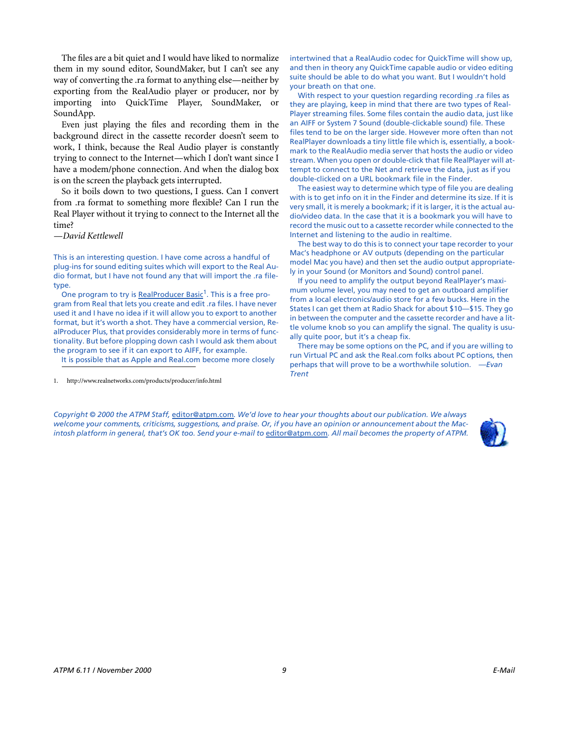The files are a bit quiet and I would have liked to normalize them in my sound editor, SoundMaker, but I can't see any way of converting the .ra format to anything else—neither by exporting from the RealAudio player or producer, nor by importing into QuickTime Player, SoundMaker, or SoundApp.

Even just playing the files and recording them in the background direct in the cassette recorder doesn't seem to work, I think, because the Real Audio player is constantly trying to connect to the Internet—which I don't want since I have a modem/phone connection. And when the dialog box is on the screen the playback gets interrupted.

So it boils down to two questions, I guess. Can I convert from .ra format to something more flexible? Can I run the Real Player without it trying to connect to the Internet all the time?

*—David Kettlewell*

This is an interesting question. I have come across a handful of plug-ins for sound editing suites which will export to the Real Audio format, but I have not found any that will import the .ra filetype.

One program to try is [RealProducer Basic](http://www.realnetworks.com/products/producer/info.html)<sup>1</sup>. This is a free program from Real that lets you create and edit .ra files. I have never used it and I have no idea if it will allow you to export to another format, but it's worth a shot. They have a commercial version, RealProducer Plus, that provides considerably more in terms of functionality. But before plopping down cash I would ask them about the program to see if it can export to AIFF, for example.

It is possible that as Apple and Real.com become more closely

1. http://www.realnetworks.com/products/producer/info.html

intertwined that a RealAudio codec for QuickTime will show up, and then in theory any QuickTime capable audio or video editing suite should be able to do what you want. But I wouldn't hold your breath on that one.

With respect to your question regarding recording .ra files as they are playing, keep in mind that there are two types of Real-Player streaming files. Some files contain the audio data, just like an AIFF or System 7 Sound (double-clickable sound) file. These files tend to be on the larger side. However more often than not RealPlayer downloads a tiny little file which is, essentially, a bookmark to the RealAudio media server that hosts the audio or video stream. When you open or double-click that file RealPlayer will attempt to connect to the Net and retrieve the data, just as if you double-clicked on a URL bookmark file in the Finder.

The easiest way to determine which type of file you are dealing with is to get info on it in the Finder and determine its size. If it is very small, it is merely a bookmark; if it is larger, it is the actual audio/video data. In the case that it is a bookmark you will have to record the music out to a cassette recorder while connected to the Internet and listening to the audio in realtime.

The best way to do this is to connect your tape recorder to your Mac's headphone or AV outputs (depending on the particular model Mac you have) and then set the audio output appropriately in your Sound (or Monitors and Sound) control panel.

If you need to amplify the output beyond RealPlayer's maximum volume level, you may need to get an outboard amplifier from a local electronics/audio store for a few bucks. Here in the States I can get them at Radio Shack for about \$10—\$15. They go in between the computer and the cassette recorder and have a little volume knob so you can amplify the signal. The quality is usually quite poor, but it's a cheap fix.

There may be some options on the PC, and if you are willing to run Virtual PC and ask the Real.com folks about PC options, then perhaps that will prove to be a worthwhile solution. *—Evan Trent*

*Copyright © 2000 the ATPM Staff,* [editor@atpm.com](mailto:editor@atpm.com)*. We'd love to hear your thoughts about our publication. We always welcome your comments, criticisms, suggestions, and praise. Or, if you have an opinion or announcement about the Macintosh platform in general, that's OK too. Send your e-mail to* [editor@atpm.com](mailto:editor@atpm.com)*. All mail becomes the property of ATPM.*

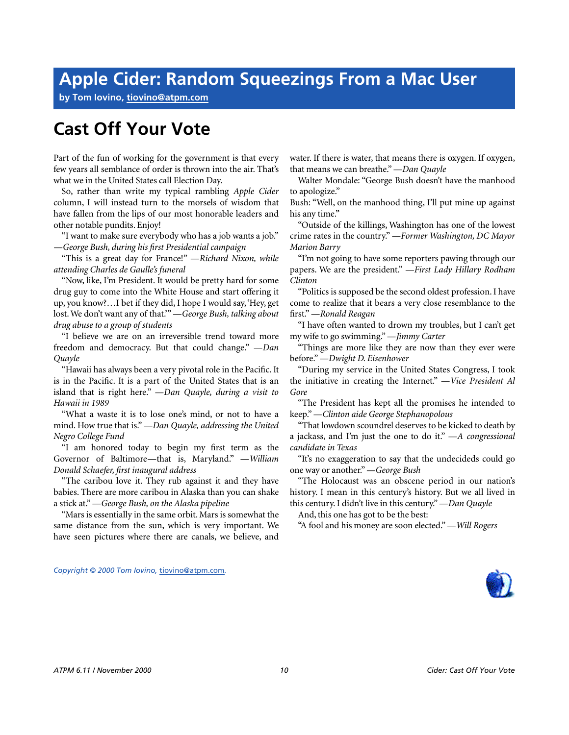### **Apple Cider: Random Squeezings From a Mac User**

**by Tom Iovino, [tiovino@atpm.com](mailto:tiovino@atpm.com)**

### **Cast Off Your Vote**

Part of the fun of working for the government is that every few years all semblance of order is thrown into the air. That's what we in the United States call Election Day.

So, rather than write my typical rambling *Apple Cider* column, I will instead turn to the morsels of wisdom that have fallen from the lips of our most honorable leaders and other notable pundits. Enjoy!

"I want to make sure everybody who has a job wants a job." *—George Bush, during his first Presidential campaign*

"This is a great day for France!" *—Richard Nixon, while attending Charles de Gaulle's funeral*

"Now, like, I'm President. It would be pretty hard for some drug guy to come into the White House and start offering it up, you know?…I bet if they did, I hope I would say, 'Hey, get lost. We don't want any of that.'" *—George Bush, talking about drug abuse to a group of students*

"I believe we are on an irreversible trend toward more freedom and democracy. But that could change." *—Dan Quayle*

"Hawaii has always been a very pivotal role in the Pacific. It is in the Pacific. It is a part of the United States that is an island that is right here." *—Dan Quayle, during a visit to Hawaii in 1989*

"What a waste it is to lose one's mind, or not to have a mind. How true that is." *—Dan Quayle, addressing the United Negro College Fund*

"I am honored today to begin my first term as the Governor of Baltimore—that is, Maryland." *—William Donald Schaefer, first inaugural address*

"The caribou love it. They rub against it and they have babies. There are more caribou in Alaska than you can shake a stick at." *—George Bush, on the Alaska pipeline*

"Mars is essentially in the same orbit. Mars is somewhat the same distance from the sun, which is very important. We have seen pictures where there are canals, we believe, and

*Copyright © 2000 Tom Iovino,* [tiovino@atpm.com](mailto:tiovino@atpm.com)*.*

water. If there is water, that means there is oxygen. If oxygen, that means we can breathe." *—Dan Quayle*

Walter Mondale: "George Bush doesn't have the manhood to apologize."

Bush: "Well, on the manhood thing, I'll put mine up against his any time."

"Outside of the killings, Washington has one of the lowest crime rates in the country." *—Former Washington, DC Mayor Marion Barry*

"I'm not going to have some reporters pawing through our papers. We are the president." *—First Lady Hillary Rodham Clinton*

"Politics is supposed be the second oldest profession. I have come to realize that it bears a very close resemblance to the first." *—Ronald Reagan*

"I have often wanted to drown my troubles, but I can't get my wife to go swimming." *—Jimmy Carter*

"Things are more like they are now than they ever were before." *—Dwight D. Eisenhower*

"During my service in the United States Congress, I took the initiative in creating the Internet." *—Vice President Al Gore*

"The President has kept all the promises he intended to keep." *—Clinton aide George Stephanopolous*

"That lowdown scoundrel deserves to be kicked to death by a jackass, and I'm just the one to do it." *—A congressional candidate in Texas*

"It's no exaggeration to say that the undecideds could go one way or another." *—George Bush*

"The Holocaust was an obscene period in our nation's history. I mean in this century's history. But we all lived in this century. I didn't live in this century." *—Dan Quayle*

And, this one has got to be the best:

"A fool and his money are soon elected." *—Will Rogers*

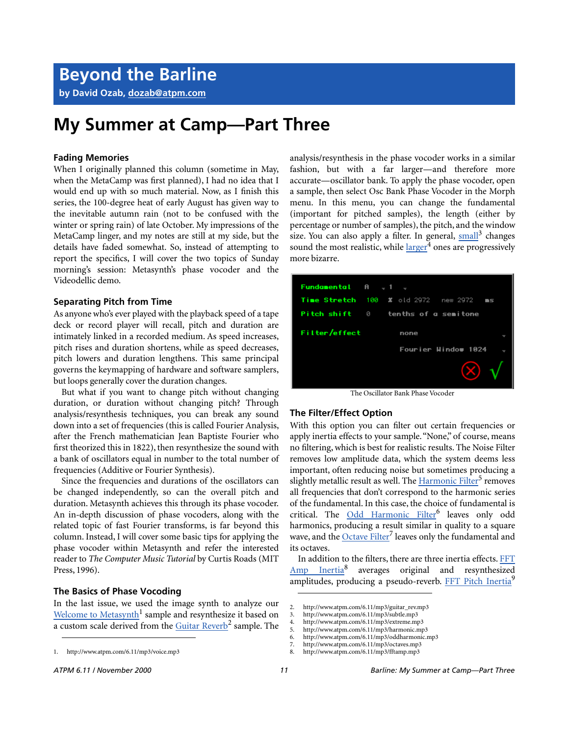**by David Ozab, [dozab@atpm.com](mailto:dozab@atpm.com)**

### **My Summer at Camp—Part Three**

### **Fading Memories**

When I originally planned this column (sometime in May, when the MetaCamp was first planned), I had no idea that I would end up with so much material. Now, as I finish this series, the 100-degree heat of early August has given way to the inevitable autumn rain (not to be confused with the winter or spring rain) of late October. My impressions of the MetaCamp linger, and my notes are still at my side, but the details have faded somewhat. So, instead of attempting to report the specifics, I will cover the two topics of Sunday morning's session: Metasynth's phase vocoder and the Videodellic demo.

### **Separating Pitch from Time**

As anyone who's ever played with the playback speed of a tape deck or record player will recall, pitch and duration are intimately linked in a recorded medium. As speed increases, pitch rises and duration shortens, while as speed decreases, pitch lowers and duration lengthens. This same principal governs the keymapping of hardware and software samplers, but loops generally cover the duration changes.

But what if you want to change pitch without changing duration, or duration without changing pitch? Through analysis/resynthesis techniques, you can break any sound down into a set of frequencies (this is called Fourier Analysis, after the French mathematician Jean Baptiste Fourier who first theorized this in 1822), then resynthesize the sound with a bank of oscillators equal in number to the total number of frequencies (Additive or Fourier Synthesis).

Since the frequencies and durations of the oscillators can be changed independently, so can the overall pitch and duration. Metasynth achieves this through its phase vocoder. An in-depth discussion of phase vocoders, along with the related topic of fast Fourier transforms, is far beyond this column. Instead, I will cover some basic tips for applying the phase vocoder within Metasynth and refer the interested reader to *The Computer Music Tutorial* by Curtis Roads (MIT Press, 1996).

### **The Basics of Phase Vocoding**

In the last issue, we used the image synth to analyze our [Welcome to Metasynth](http://www.atpm.com/6.11/mp3/voice.mp3)<sup>1</sup> sample and resynthesize it based on a custom scale derived from the [Guitar Reverb](http://www.atpm.com/6.11/mp3/guitar_rev.mp3)<sup>2</sup> sample. The analysis/resynthesis in the phase vocoder works in a similar fashion, but with a far larger—and therefore more accurate—oscillator bank. To apply the phase vocoder, open a sample, then select Osc Bank Phase Vocoder in the Morph menu. In this menu, you can change the fundamental (important for pitched samples), the length (either by percentage or number of samples), the pitch, and the window size. You can also apply a filter. In general, [small](http://www.atpm.com/6.11/mp3/subtle.mp3)<sup>3</sup> changes sound the most realistic, while [larger](http://www.atpm.com/6.11/mp3/extreme.mp3)<sup>4</sup> ones are progressively more bizarre.

| $Fundamental$ $A = 1$ |                                                |  |
|-----------------------|------------------------------------------------|--|
|                       | Time Stretch $100 \times 100$ 2972 new 2972 ms |  |
|                       | <b>Pitch shift</b> 0 tenths of a semitone      |  |
| Filter/effect<br>none |                                                |  |
|                       | Fourier Hindow 1024                            |  |
|                       |                                                |  |

The Oscillator Bank Phase Vocoder

#### **The Filter/Effect Option**

With this option you can filter out certain frequencies or apply inertia effects to your sample. "None," of course, means no filtering, which is best for realistic results. The Noise Filter removes low amplitude data, which the system deems less important, often reducing noise but sometimes producing a slightly metallic result as well. The [Harmonic Filter](http://www.atpm.com/6.11/mp3/harmonic.mp3)<sup>5</sup> removes all frequencies that don't correspond to the harmonic series of the fundamental. In this case, the choice of fundamental is critical. The <u>[Odd Harmonic Filter](http://www.atpm.com/6.11/mp3/oddharmonic.mp3)</u><sup>6</sup> leaves only odd harmonics, producing a result similar in quality to a square wave, and the [Octave Filter](http://www.atpm.com/6.11/mp3/octaves.mp3)<sup>7</sup> leaves only the fundamental and its octaves.

In addition to the filters, there are three inertia effects. [FFT](http://www.atpm.com/6.11/mp3/fftamp.mp3) Amp Inertia<sup>8</sup> averages original and resynthesized amplitudes, producing a pseudo-reverb. FFT Pitch Inertia<sup>9</sup>

<sup>1.</sup> http://www.atpm.com/6.11/mp3/voice.mp3

<sup>2.</sup> http://www.atpm.com/6.11/mp3/guitar\_rev.mp3

<sup>3.</sup> http://www.atpm.com/6.11/mp3/subtle.mp3

<sup>4.</sup> http://www.atpm.com/6.11/mp3/extreme.mp3<br>5. http://www.atpm.com/6.11/mp3/harmonic.mp

<sup>5.</sup> http://www.atpm.com/6.11/mp3/harmonic.mp3

<sup>6.</sup> http://www.atpm.com/6.11/mp3/oddharmonic.mp3

<sup>7.</sup> http://www.atpm.com/6.11/mp3/octaves.mp3 8. http://www.atpm.com/6.11/mp3/fftamp.mp3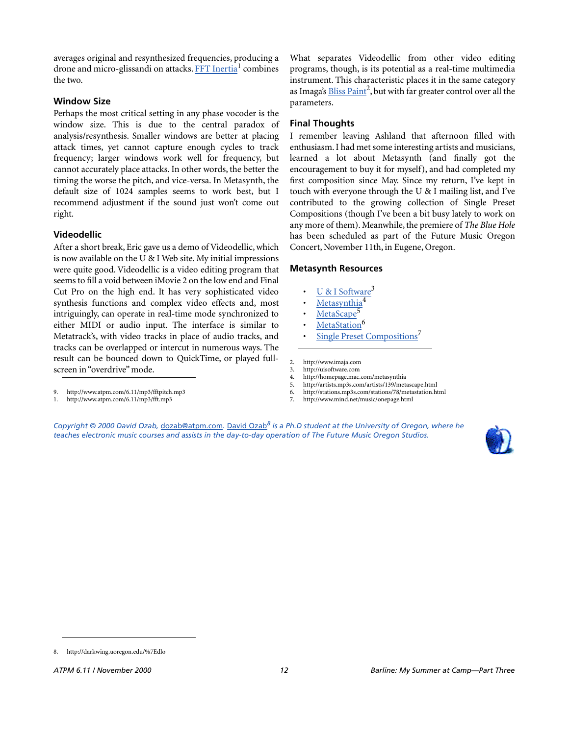averages original and resynthesized frequencies, producing a drone and micro-glissandi on attacks. FFT Inertia<sup>1</sup> combines the two.

### **Window Size**

Perhaps the most critical setting in any phase vocoder is the window size. This is due to the central paradox of analysis/resynthesis. Smaller windows are better at placing attack times, yet cannot capture enough cycles to track frequency; larger windows work well for frequency, but cannot accurately place attacks. In other words, the better the timing the worse the pitch, and vice-versa. In Metasynth, the default size of 1024 samples seems to work best, but I recommend adjustment if the sound just won't come out right.

### **Videodellic**

After a short break, Eric gave us a demo of Videodellic, which is now available on the U & I Web site. My initial impressions were quite good. Videodellic is a video editing program that seems to fill a void between iMovie 2 on the low end and Final Cut Pro on the high end. It has very sophisticated video synthesis functions and complex video effects and, most intriguingly, can operate in real-time mode synchronized to either MIDI or audio input. The interface is similar to Metatrack's, with video tracks in place of audio tracks, and tracks can be overlapped or intercut in numerous ways. The result can be bounced down to QuickTime, or played fullscreen in "overdrive" mode.

What separates Videodellic from other video editing programs, though, is its potential as a real-time multimedia instrument. This characteristic places it in the same category as Imaga's <u>Bliss Paint</u><sup>2</sup>, but with far greater control over all the parameters.

### **Final Thoughts**

I remember leaving Ashland that afternoon filled with enthusiasm. I had met some interesting artists and musicians, learned a lot about Metasynth (and finally got the encouragement to buy it for myself), and had completed my first composition since May. Since my return, I've kept in touch with everyone through the U & I mailing list, and I've contributed to the growing collection of Single Preset Compositions (though I've been a bit busy lately to work on any more of them). Meanwhile, the premiere of *The Blue Hole* has been scheduled as part of the Future Music Oregon Concert, November 11th, in Eugene, Oregon.

### **Metasynth Resources**

- U & I Software<sup>3</sup>
- [Metasynthia](http://homepage.mac.com/metasynthia)<sup>4</sup>
- [MetaScape](http://artists.mp3s.com/artists/139/metascape.html)<sup>5</sup>
- [MetaStation](http://stations.mp3s.com/stations/78/metastation.html)<sup>6</sup>
- [Single Preset Compositions](http://www.mind.net/music/onepage.html)<sup>7</sup>
- 2. http://www.imaja.com
- 3. http://uisoftware.com
- 4. http://homepage.mac.com/metasynthia<br>5. http://artists.mp3s.com/artists/139/met
- 5. http://artists.mp3s.com/artists/139/metascape.html 6. http://stations.mp3s.com/stations/78/metastation.html
- 7. http://www.mind.net/music/onepage.html

*Copyright © 2000 David Ozab,* [dozab@atpm.com](mailto:dozab@atpm.com)*.* [David Ozab](http://darkwing.uoregon.edu/%7Edlo)*8 is a Ph.D student at the University of Oregon, where he teaches electronic music courses and assists in the day-to-day operation of The Future Music Oregon Studios.*



<sup>9.</sup> http://www.atpm.com/6.11/mp3/fftpitch.mp3

<sup>1.</sup> http://www.atpm.com/6.11/mp3/fft.mp3

<sup>8.</sup> http://darkwing.uoregon.edu/%7Edlo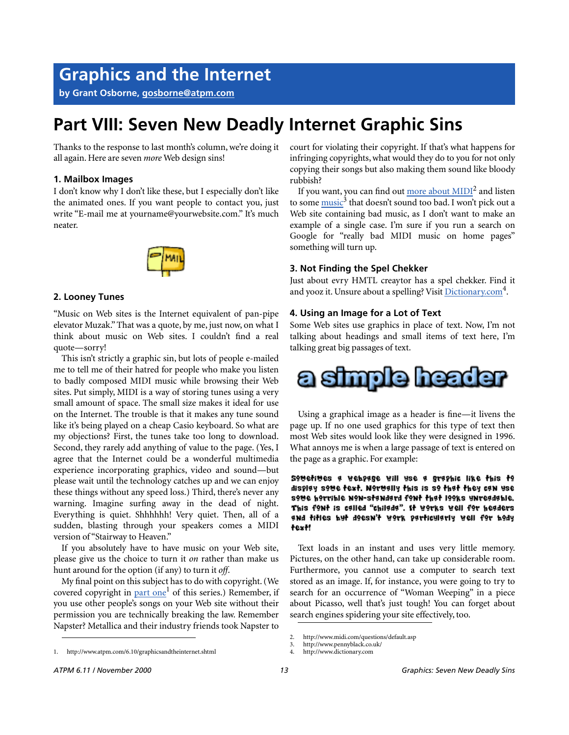### **Graphics and the Internet**

**by Grant Osborne, [gosborne@atpm.com](mailto:gosborne@atpm.com)**

### **Part VIII: Seven New Deadly Internet Graphic Sins**

Thanks to the response to last month's column, we're doing it all again. Here are seven *more* Web design sins!

### **1. Mailbox Images**

I don't know why I don't like these, but I especially don't like the animated ones. If you want people to contact you, just write "E-mail me at yourname@yourwebsite.com." It's much neater.



### **2. Looney Tunes**

"Music on Web sites is the Internet equivalent of pan-pipe elevator Muzak." That was a quote, by me, just now, on what I think about music on Web sites. I couldn't find a real quote—sorry!

This isn't strictly a graphic sin, but lots of people e-mailed me to tell me of their hatred for people who make you listen to badly composed MIDI music while browsing their Web sites. Put simply, MIDI is a way of storing tunes using a very small amount of space. The small size makes it ideal for use on the Internet. The trouble is that it makes any tune sound like it's being played on a cheap Casio keyboard. So what are my objections? First, the tunes take too long to download. Second, they rarely add anything of value to the page. (Yes, I agree that the Internet could be a wonderful multimedia experience incorporating graphics, video and sound—but please wait until the technology catches up and we can enjoy these things without any speed loss.) Third, there's never any warning. Imagine surfing away in the dead of night. Everything is quiet. Shhhhhh! Very quiet. Then, all of a sudden, blasting through your speakers comes a MIDI version of "Stairway to Heaven."

If you absolutely have to have music on your Web site, please give us the choice to turn it *on* rather than make us hunt around for the option (if any) to turn it *off*.

My final point on this subject has to do with copyright. (We covered copyright in part one<sup>1</sup> of this series.) Remember, if you use other people's songs on your Web site without their permission you are technically breaking the law. Remember Napster? Metallica and their industry friends took Napster to

court for violating their copyright. If that's what happens for infringing copyrights, what would they do to you for not only copying their songs but also making them sound like bloody rubbish?

If you want, you can find out  $\overline{\mathrm{more}}$  about  $\overline{\mathrm{MIDI}}^2$  and listen to some  $\overline{\text{music}}^3$  that doesn't sound too bad. I won't pick out a Web site containing bad music, as I don't want to make an example of a single case. I'm sure if you run a search on Google for "really bad MIDI music on home pages" something will turn up.

### **3. Not Finding the Spel Chekker**

Just about evry HMTL creaytor has a spel chekker. Find it and yooz it. Unsure about a spelling? Visit [Dictionary.com](http://www.dictionary.com)<sup>4</sup>.

### **4. Using an Image for a Lot of Text**

Some Web sites use graphics in place of text. Now, I'm not talking about headings and small items of text here, I'm talking great big passages of text.



Using a graphical image as a header is fine—it livens the page up. If no one used graphics for this type of text then most Web sites would look like they were designed in 1996. What annoys me is when a large passage of text is entered on the page as a graphic. For example:

soverives a vebpage vill use a graphic like this to display some text. Normally this is so that they can use sove horrible non-standard font that looks unreadable. This font is called "chilada". It works well for headers and titles but doesn't work particularly well for body text!

Text loads in an instant and uses very little memory. Pictures, on the other hand, can take up considerable room. Furthermore, you cannot use a computer to search text stored as an image. If, for instance, you were going to try to search for an occurrence of "Woman Weeping" in a piece about Picasso, well that's just tough! You can forget about search engines spidering your site effectively, too.

<sup>2.</sup> http://www.midi.com/questions/default.asp

<sup>3.</sup> http://www.pennyblack.co.uk/

<sup>4.</sup> http://www.dictionary.com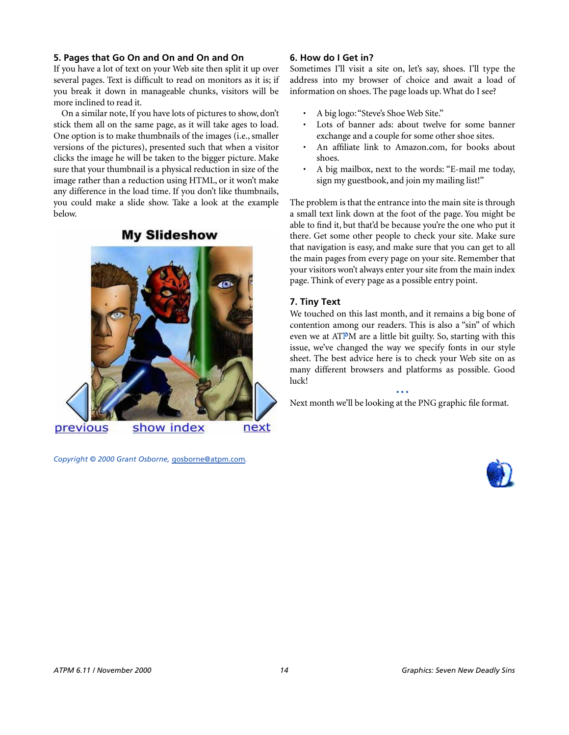### **5. Pages that Go On and On and On and On**

If you have a lot of text on your Web site then split it up over several pages. Text is difficult to read on monitors as it is; if you break it down in manageable chunks, visitors will be more inclined to read it.

On a similar note, If you have lots of pictures to show, don't stick them all on the same page, as it will take ages to load. One option is to make thumbnails of the images (i.e., smaller versions of the pictures), presented such that when a visitor clicks the image he will be taken to the bigger picture. Make sure that your thumbnail is a physical reduction in size of the image rather than a reduction using HTML, or it won't make any difference in the load time. If you don't like thumbnails, you could make a slide show. Take a look at the example below.

### **My Slideshow**



*Copyright © 2000 Grant Osborne,* [gosborne@atpm.com](mailto:gosborne@atpm.com)*.*

### **6. How do I Get in?**

Sometimes I'll visit a site on, let's say, shoes. I'll type the address into my browser of choice and await a load of information on shoes. The page loads up. What do I see?

- A big logo: "Steve's Shoe Web Site."
- Lots of banner ads: about twelve for some banner exchange and a couple for some other shoe sites.
- An affiliate link to Amazon.com, for books about shoes.
- A big mailbox, next to the words: "E-mail me today, sign my guestbook, and join my mailing list!"

The problem is that the entrance into the main site is through a small text link down at the foot of the page. You might be able to find it, but that'd be because you're the one who put it there. Get some other people to check your site. Make sure that navigation is easy, and make sure that you can get to all the main pages from every page on your site. Remember that your visitors won't always enter your site from the main index page. Think of every page as a possible entry point.

### **7. Tiny Text**

We touched on this last month, and it remains a big bone of contention among our readers. This is also a "sin" of which even we at ATPM are a little bit guilty. So, starting with this issue, we've changed the way we specify fonts in our style sheet. The best advice here is to check your Web site on as many different browsers and platforms as possible. Good luck!

**• • •** Next month we'll be looking at the PNG graphic file format.

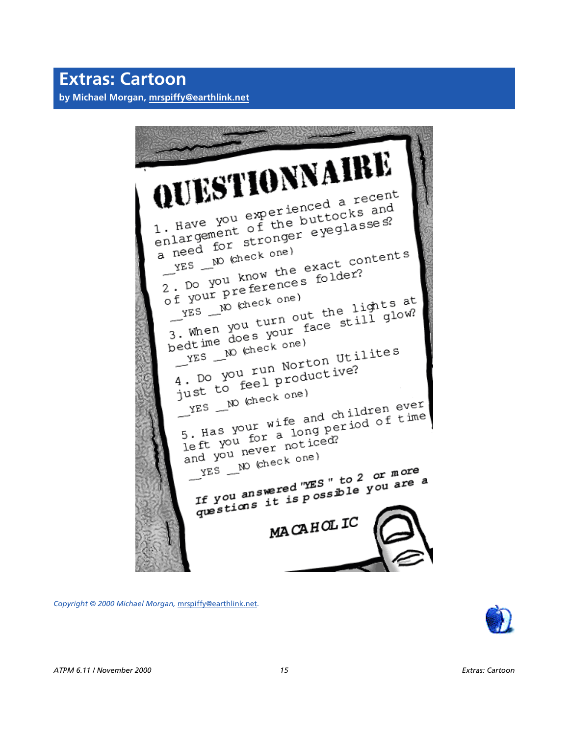UESTIONNAIR! Have you experienced a recent<br>1. Have you experienced a recent<br>1. Have you of the buttocks and 1. Have you experienced a receive<br>1. Have you experienced a receive<br>enlargement of the buttocks and<br>enlargement stronger eyeglasses? 1. Have you experient the buttocks and<br>enlargement of the buttocks and<br>a need for stronger eyeglasses? reed for sure,<br>
YES \_\_ NO (check one)  $\begin{array}{c} \mathcal{L}^{ES} \rightarrow \mathbb{R}^{N} \\ \text{2. Do you know the exact value} \\ \text{of your preference} \\ \text{of your number} \\ \text{or } \mathcal{L}^{C} \end{array}$ 

reed for such the exact contents<br>
The with the exact contents<br>
2. Do you know the exact contents<br>
2. Do you know the exact contents  $\frac{1}{2}$  your preference) of your preference)<br>
YES We kneck one)<br>
Then you turn out the lights at<br>
3. When you turn out the lights at<br>
3. When does your face still glow?  $\frac{1}{2}$  yES We kneck one the lights at  $\frac{1}{3}$ . When you turn out the lights at  $\frac{3}{3}$ . When  $\frac{1}{3}$  you face still glow?  $MES$  M  $(Check \ one)$ <br> $YES$  M  $(Check \ one)$ yes W check one)<br>The W check one)<br>4. Do you run Norton Utilites<br>4. Do you run Norton Utilites 4. Do you run Norton<br>just to feel productive? ust to  $\frac{1}{100}$  (check one)  $YES = \nW$  (check one)<br>5. Has your wife and children ever<br>5. Has your wife and period of time  $Y^{ES}$  -  $Y^{E}$ <br>5. Has your wife and children ever<br>1eft you for a long period of time<br>1eft you never noticed? 5. Has I for a long by<br>left you for noticed?<br>and you never noticed? YES \_\_ NO (check one)  $YES$  W check one?<br>If you answered "YES" to 2 or more<br>If you answered "YES" to 2 or more If you answered "YES" to 2 or more a<br>questions it is possible you are a MACAHOLIC

*Copyright © 2000 Michael Morgan,* [mrspiffy@earthlink.net](mailto:mrspiffy@earthlink.net)*.*

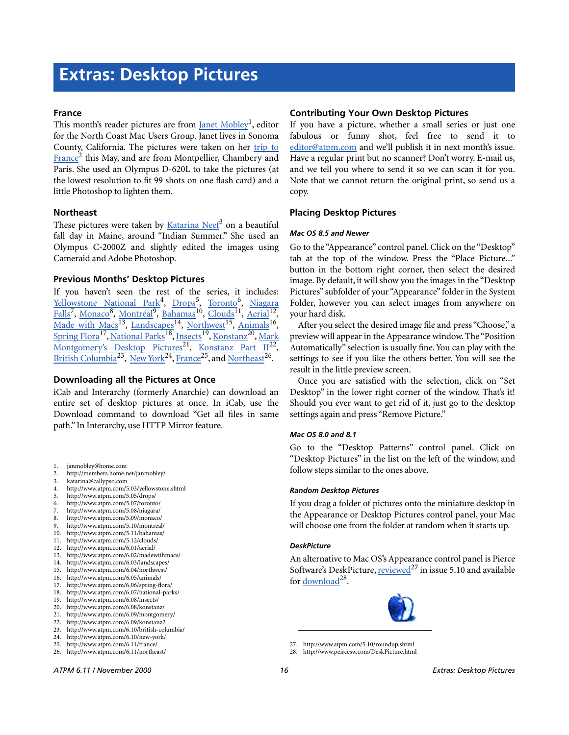#### **France**

This month's reader pictures are from <u>[Janet Mobley](mailto:janmobley@home.com)</u><sup>1</sup>, editor for the North Coast Mac Users Group. Janet lives in Sonoma County, California. The pictures were taken on her [trip to](http://members.home.net/janmobley/) France<sup>2</sup> this May, and are from Montpellier, Chambery and Paris. She used an Olympus D-620L to take the pictures (at the lowest resolution to fit 99 shots on one flash card) and a little Photoshop to lighten them.

### **Northeast**

These pictures were taken by <u>[Katarina Neef](mailto:katarina@callypso.com)</u><sup>3</sup> on a beautiful fall day in Maine, around "Indian Summer." She used an Olympus C-2000Z and slightly edited the images using Cameraid and Adobe Photoshop.

### **Previous Months' Desktop Pictures**

If you haven't seen the rest of the series, it includes: <u>[Yellowstone National Park](http://www.atpm.com/5.03/yellowstone.shtml)<sup>4</sup>, [Drops](http://www.atpm.com/5.05/drops/)<sup>5</sup>, Toronto<sup>6</sup>, [Niagara](http://www.atpm.com/5.08/niagara/)</u> [Falls](http://www.atpm.com/5.08/niagara/)<sup>7</sup>, [Monaco](http://www.atpm.com/5.09/monaco/)<sup>8</sup>, [Montréal](http://www.atpm.com/5.10/montreal/)<sup>9</sup>, [Bahamas](http://www.atpm.com/5.11/bahamas/)<sup>10</sup>, [Clouds](http://www.atpm.com/5.12/clouds/)<sup>11</sup>, [Aerial](http://www.atpm.com/6.01/aerial/)<sup>12</sup>, [Made with Macs](http://www.atpm.com/6.02/madewithmacs/)<sup>13</sup>, [Landscapes](http://www.atpm.com/6.03/landscapes)<sup>14</sup>, [Northwest](http://www.atpm.com/6.04/northwest/)<sup>15</sup>, [Animals](http://www.atpm.com/6.05/animals/)<sup>16</sup>, [Spring Flora](http://www.atpm.com/6.06/spring-flora/)<sup>17</sup>, National Parks<sup>18</sup>, [Insects](http://www.atpm.com/6.08/insects/)<sup>19</sup>, Konstanz<sup>20</sup>, [Mark](http://www.atpm.com/6.09/montgomery/) [Montgomery's Desktop Pictures](http://www.atpm.com/6.09/montgomery/)<sup>21</sup>, Konstanz Part II<sup>22</sup>, [British Columbia](http://www.atpm.com/6.10/british-columbia/)<sup>23</sup>, New York<sup>24</sup>, [France](http://www.atpm.com/6.11/france/)<sup>25</sup>, and [Northeast](http://www.atpm.com/6.11/northeast/)<sup>26</sup>.

### **Downloading all the Pictures at Once**

iCab and Interarchy (formerly Anarchie) can download an entire set of desktop pictures at once. In iCab, use the Download command to download "Get all files in same path." In Interarchy, use HTTP Mirror feature.

- 1. janmobley@home.com
- 2. http://members.home.net/janmobley/
- 3. katarina@callypso.com
- 4. http://www.atpm.com/5.03/yellowstone.shtml
- 5. http://www.atpm.com/5.05/drops/
- 6. http://www.atpm.com/5.07/toronto/
- 7. http://www.atpm.com/5.08/niagara/
- 8. http://www.atpm.com/5.09/monaco/
- http://www.atpm.com/5.10/montreal/
- 10. http://www.atpm.com/5.11/bahamas/ 11. http://www.atpm.com/5.12/clouds/
- 12. http://www.atpm.com/6.01/aerial/
- 13. http://www.atpm.com/6.02/madewithmacs/
- 14. http://www.atpm.com/6.03/landscapes/
- 15. http://www.atpm.com/6.04/northwest/
- 16. http://www.atpm.com/6.05/animals/
- 17. http://www.atpm.com/6.06/spring-flora/
- 18. http://www.atpm.com/6.07/national-parks/
- 19. http://www.atpm.com/6.08/insects/
- 20. http://www.atpm.com/6.08/konstanz/
- 21. http://www.atpm.com/6.09/montgomery/
- 22. http://www.atpm.com/6.09/konstanz2 23. http://www.atpm.com/6.10/british-columbia/
- 24. http://www.atpm.com/6.10/new-york/
- 25. http://www.atpm.com/6.11/france/
- 26. http://www.atpm.com/6.11/northeast/

### **Contributing Your Own Desktop Pictures**

If you have a picture, whether a small series or just one fabulous or funny shot, feel free to send it to [editor@atpm.com](mailto:editor@atpm.com) and we'll publish it in next month's issue. Have a regular print but no scanner? Don't worry. E-mail us, and we tell you where to send it so we can scan it for you. Note that we cannot return the original print, so send us a copy.

### **Placing Desktop Pictures**

#### *Mac OS 8.5 and Newer*

Go to the "Appearance" control panel. Click on the "Desktop" tab at the top of the window. Press the "Place Picture..." button in the bottom right corner, then select the desired image. By default, it will show you the images in the "Desktop Pictures" subfolder of your "Appearance" folder in the System Folder, however you can select images from anywhere on your hard disk.

After you select the desired image file and press "Choose," a preview will appear in the Appearance window. The "Position Automatically" selection is usually fine. You can play with the settings to see if you like the others better. You will see the result in the little preview screen.

Once you are satisfied with the selection, click on "Set Desktop" in the lower right corner of the window. That's it! Should you ever want to get rid of it, just go to the desktop settings again and press "Remove Picture."

#### *Mac OS 8.0 and 8.1*

Go to the "Desktop Patterns" control panel. Click on "Desktop Pictures" in the list on the left of the window, and follow steps similar to the ones above.

#### *Random Desktop Pictures*

If you drag a folder of pictures onto the miniature desktop in the Appearance or Desktop Pictures control panel, your Mac will choose one from the folder at random when it starts up.

#### *DeskPicture*

[An alternative to Mac OS's Appearance control panel is Pierce](http://www.atpm.com/5.10/roundup.shtml) [Software's DeskPicture, reviewed](http://www.atpm.com/5.10/roundup.shtml)<sup>27</sup> in issue 5.10 and available for download<sup>28</sup>.



[27. http://www.atpm.com/5.10/roundup.shtml](http://www.peircesw.com/DeskPicture.html)

<sup>28.</sup> http://www.peircesw.com/DeskPicture.html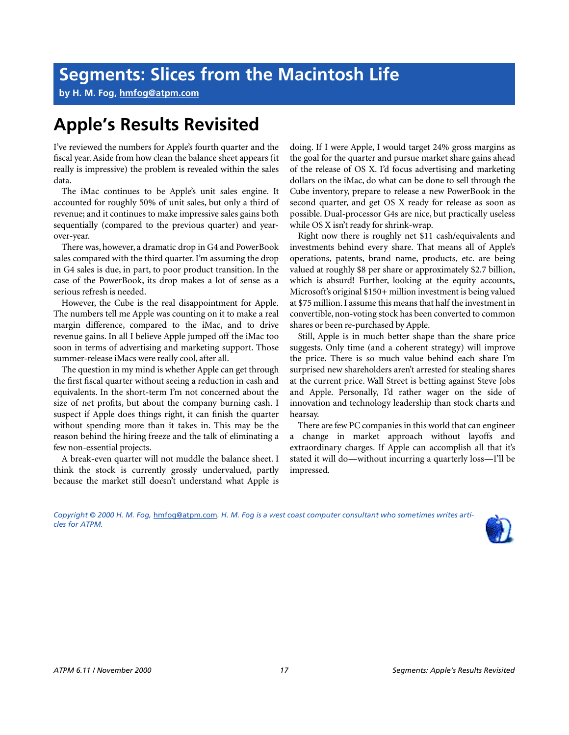**by H. M. Fog, [hmfog@atpm.com](mailto:hmfog@atpm.com)**

### **Apple's Results Revisited**

I've reviewed the numbers for Apple's fourth quarter and the fiscal year. Aside from how clean the balance sheet appears (it really is impressive) the problem is revealed within the sales data.

The iMac continues to be Apple's unit sales engine. It accounted for roughly 50% of unit sales, but only a third of revenue; and it continues to make impressive sales gains both sequentially (compared to the previous quarter) and yearover-year.

There was, however, a dramatic drop in G4 and PowerBook sales compared with the third quarter. I'm assuming the drop in G4 sales is due, in part, to poor product transition. In the case of the PowerBook, its drop makes a lot of sense as a serious refresh is needed.

However, the Cube is the real disappointment for Apple. The numbers tell me Apple was counting on it to make a real margin difference, compared to the iMac, and to drive revenue gains. In all I believe Apple jumped off the iMac too soon in terms of advertising and marketing support. Those summer-release iMacs were really cool, after all.

The question in my mind is whether Apple can get through the first fiscal quarter without seeing a reduction in cash and equivalents. In the short-term I'm not concerned about the size of net profits, but about the company burning cash. I suspect if Apple does things right, it can finish the quarter without spending more than it takes in. This may be the reason behind the hiring freeze and the talk of eliminating a few non-essential projects.

A break-even quarter will not muddle the balance sheet. I think the stock is currently grossly undervalued, partly because the market still doesn't understand what Apple is

doing. If I were Apple, I would target 24% gross margins as the goal for the quarter and pursue market share gains ahead of the release of OS X. I'd focus advertising and marketing dollars on the iMac, do what can be done to sell through the Cube inventory, prepare to release a new PowerBook in the second quarter, and get OS X ready for release as soon as possible. Dual-processor G4s are nice, but practically useless while OS X isn't ready for shrink-wrap.

Right now there is roughly net \$11 cash/equivalents and investments behind every share. That means all of Apple's operations, patents, brand name, products, etc. are being valued at roughly \$8 per share or approximately \$2.7 billion, which is absurd! Further, looking at the equity accounts, Microsoft's original \$150+ million investment is being valued at \$75 million. I assume this means that half the investment in convertible, non-voting stock has been converted to common shares or been re-purchased by Apple.

Still, Apple is in much better shape than the share price suggests. Only time (and a coherent strategy) will improve the price. There is so much value behind each share I'm surprised new shareholders aren't arrested for stealing shares at the current price. Wall Street is betting against Steve Jobs and Apple. Personally, I'd rather wager on the side of innovation and technology leadership than stock charts and hearsay.

There are few PC companies in this world that can engineer a change in market approach without layoffs and extraordinary charges. If Apple can accomplish all that it's stated it will do—without incurring a quarterly loss—I'll be impressed.

*Copyright © 2000 H. M. Fog,* [hmfog@atpm.com](mailto:hmfog@atpm.com)*. H. M. Fog is a west coast computer consultant who sometimes writes articles for ATPM.*

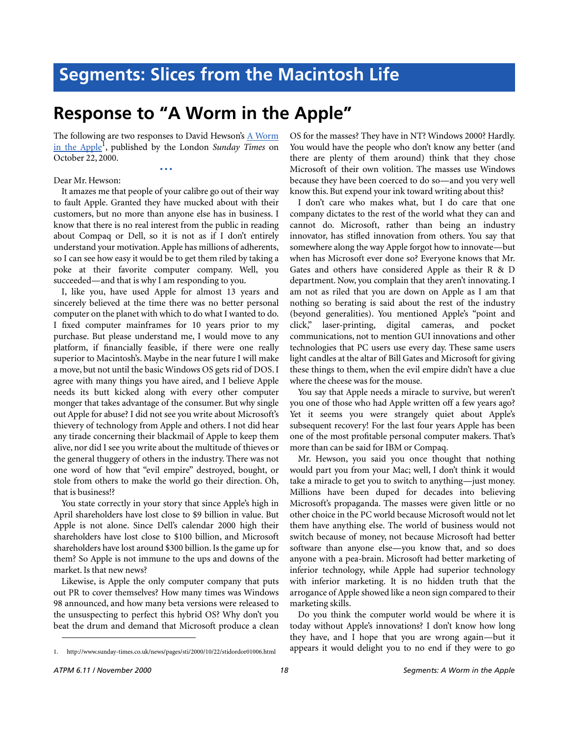### **Response to "A Worm in the Apple"**

The following are two responses to David Hewson's [A Worm](http://www.sunday-times.co.uk/news/pages/sti/2000/10/22/stidordor01006.html) [in the Apple1](http://www.sunday-times.co.uk/news/pages/sti/2000/10/22/stidordor01006.html) , published by the London *Sunday Times* on October 22, 2000.

**• • •**

Dear Mr. Hewson:

It amazes me that people of your calibre go out of their way to fault Apple. Granted they have mucked about with their customers, but no more than anyone else has in business. I know that there is no real interest from the public in reading about Compaq or Dell, so it is not as if I don't entirely understand your motivation. Apple has millions of adherents, so I can see how easy it would be to get them riled by taking a poke at their favorite computer company. Well, you succeeded—and that is why I am responding to you.

I, like you, have used Apple for almost 13 years and sincerely believed at the time there was no better personal computer on the planet with which to do what I wanted to do. I fixed computer mainframes for 10 years prior to my purchase. But please understand me, I would move to any platform, if financially feasible, if there were one really superior to Macintosh's. Maybe in the near future I will make a move, but not until the basic Windows OS gets rid of DOS. I agree with many things you have aired, and I believe Apple needs its butt kicked along with every other computer monger that takes advantage of the consumer. But why single out Apple for abuse? I did not see you write about Microsoft's thievery of technology from Apple and others. I not did hear any tirade concerning their blackmail of Apple to keep them alive, nor did I see you write about the multitude of thieves or the general thuggery of others in the industry. There was not one word of how that "evil empire" destroyed, bought, or stole from others to make the world go their direction. Oh, that is business!?

You state correctly in your story that since Apple's high in April shareholders have lost close to \$9 billion in value. But Apple is not alone. Since Dell's calendar 2000 high their shareholders have lost close to \$100 billion, and Microsoft shareholders have lost around \$300 billion. Is the game up for them? So Apple is not immune to the ups and downs of the market. Is that new news?

Likewise, is Apple the only computer company that puts out PR to cover themselves? How many times was Windows 98 announced, and how many beta versions were released to the unsuspecting to perfect this hybrid OS? Why don't you beat the drum and demand that Microsoft produce a clean

1. http://www.sunday-times.co.uk/news/pages/sti/2000/10/22/stidordor01006.html

OS for the masses? They have in NT? Windows 2000? Hardly. You would have the people who don't know any better (and there are plenty of them around) think that they chose Microsoft of their own volition. The masses use Windows because they have been coerced to do so—and you very well know this. But expend your ink toward writing about this?

I don't care who makes what, but I do care that one company dictates to the rest of the world what they can and cannot do. Microsoft, rather than being an industry innovator, has stifled innovation from others. You say that somewhere along the way Apple forgot how to innovate—but when has Microsoft ever done so? Everyone knows that Mr. Gates and others have considered Apple as their R & D department. Now, you complain that they aren't innovating. I am not as riled that you are down on Apple as I am that nothing so berating is said about the rest of the industry (beyond generalities). You mentioned Apple's "point and click," laser-printing, digital cameras, and pocket communications, not to mention GUI innovations and other technologies that PC users use every day. These same users light candles at the altar of Bill Gates and Microsoft for giving these things to them, when the evil empire didn't have a clue where the cheese was for the mouse.

You say that Apple needs a miracle to survive, but weren't you one of those who had Apple written off a few years ago? Yet it seems you were strangely quiet about Apple's subsequent recovery! For the last four years Apple has been one of the most profitable personal computer makers. That's more than can be said for IBM or Compaq.

Mr. Hewson, you said you once thought that nothing would part you from your Mac; well, I don't think it would take a miracle to get you to switch to anything—just money. Millions have been duped for decades into believing Microsoft's propaganda. The masses were given little or no other choice in the PC world because Microsoft would not let them have anything else. The world of business would not switch because of money, not because Microsoft had better software than anyone else—you know that, and so does anyone with a pea-brain. Microsoft had better marketing of inferior technology, while Apple had superior technology with inferior marketing. It is no hidden truth that the arrogance of Apple showed like a neon sign compared to their marketing skills.

Do you think the computer world would be where it is today without Apple's innovations? I don't know how long they have, and I hope that you are wrong again—but it appears it would delight you to no end if they were to go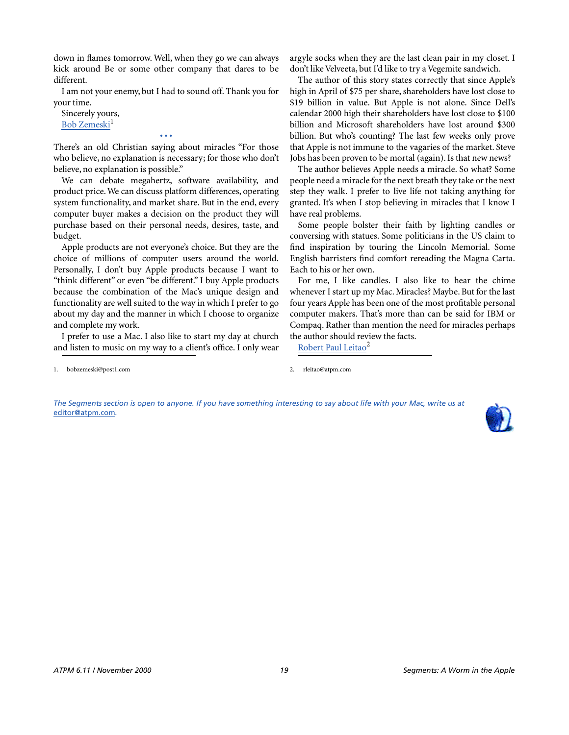down in flames tomorrow. Well, when they go we can always kick around Be or some other company that dares to be different.

I am not your enemy, but I had to sound off. Thank you for your time.

Sincerely yours, [Bob Zemeski](mailto:bobzemeski@post1.com)<sup>1</sup>

There's an old Christian saying about miracles "For those who believe, no explanation is necessary; for those who don't believe, no explanation is possible."

**• • •**

We can debate megahertz, software availability, and product price. We can discuss platform differences, operating system functionality, and market share. But in the end, every computer buyer makes a decision on the product they will purchase based on their personal needs, desires, taste, and budget.

Apple products are not everyone's choice. But they are the choice of millions of computer users around the world. Personally, I don't buy Apple products because I want to "think different" or even "be different." I buy Apple products because the combination of the Mac's unique design and functionality are well suited to the way in which I prefer to go about my day and the manner in which I choose to organize and complete my work.

I prefer to use a Mac. I also like to start my day at church and listen to music on my way to a client's office. I only wear argyle socks when they are the last clean pair in my closet. I don't like Velveeta, but I'd like to try a Vegemite sandwich.

The author of this story states correctly that since Apple's high in April of \$75 per share, shareholders have lost close to \$19 billion in value. But Apple is not alone. Since Dell's calendar 2000 high their shareholders have lost close to \$100 billion and Microsoft shareholders have lost around \$300 billion. But who's counting? The last few weeks only prove that Apple is not immune to the vagaries of the market. Steve Jobs has been proven to be mortal (again). Is that new news?

The author believes Apple needs a miracle. So what? Some people need a miracle for the next breath they take or the next step they walk. I prefer to live life not taking anything for granted. It's when I stop believing in miracles that I know I have real problems.

Some people bolster their faith by lighting candles or conversing with statues. Some politicians in the US claim to find inspiration by touring the Lincoln Memorial. Some English barristers find comfort rereading the Magna Carta. Each to his or her own.

For me, I like candles. I also like to hear the chime whenever I start up my Mac. Miracles? Maybe. But for the last four years Apple has been one of the most profitable personal computer makers. That's more than can be said for IBM or Compaq. Rather than mention the need for miracles perhaps the author should review the facts.

Robert Paul Leitao<sup>2</sup>

*The Segments section is open to anyone. If you have something interesting to say about life with your Mac, write us at*  [editor@atpm.com](mailto:editor@atpm.com)*.*



<sup>1.</sup> bobzemeski@post1.com 2. rleitao@atpm.com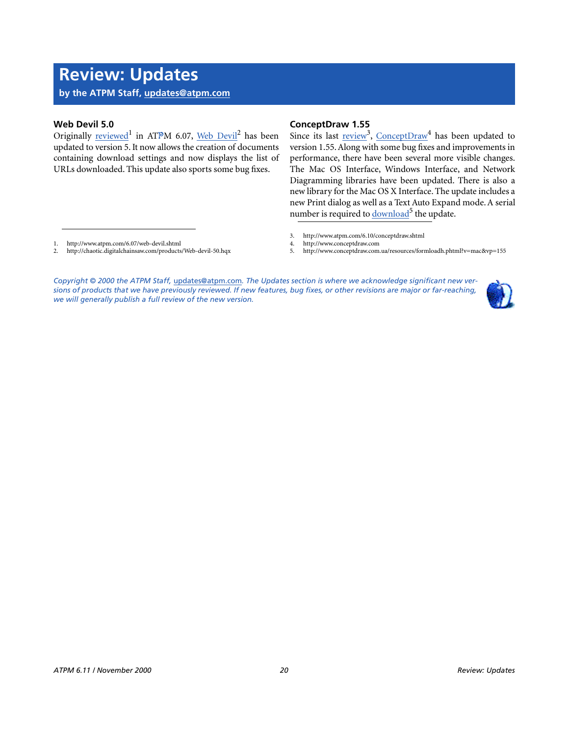### **Review: Updates**

**by the ATPM Staff, [updates@atpm.com](mailto:updates@atpm.com)**

### **Web Devil 5.0**

Originally [reviewed](http://www.atpm.com/6.07/web-devil.shtml)<sup>1</sup> in ATPM 6.07, [Web Devil](http://chaotic.digitalchainsaw.com/products/Web-devil-50.hqx)<sup>2</sup> has been updated to version 5. It now allows the creation of documents containing download settings and now displays the list of URLs downloaded. This update also sports some bug fixes.

### **ConceptDraw 1.55**

Since its last review<sup>3</sup>, [ConceptDraw](http://www.conceptdraw.com)<sup>4</sup> has been updated to version 1.55. Along with some bug fixes and improvements in performance, there have been several more visible changes. The Mac OS Interface, Windows Interface, and Network Diagramming libraries have been updated. There is also a new library for the Mac OS X Interface. The update includes a new Print dialog as well as a Text Auto Expand mode. A serial number is required to download<sup>5</sup> the update.

- 1. http://www.atpm.com/6.07/web-devil.shtml<br>2. http://chaotic.digitalchainsaw.com/products
- 2. http://chaotic.digitalchainsaw.com/products/Web-devil-50.hqx
- 3. http://www.atpm.com/6.10/conceptdraw.shtml
- 4. http://www.conceptdraw.com<br>5. http://www.conceptdraw.com.
- 5. http://www.conceptdraw.com.ua/resources/formloadh.phtml?v=mac&vp=155

*Copyright © 2000 the ATPM Staff,* [updates@atpm.com](mailto:updates@atpm.com)*. The Updates section is where we acknowledge significant new versions of products that we have previously reviewed. If new features, bug fixes, or other revisions are major or far-reaching, we will generally publish a full review of the new version.*

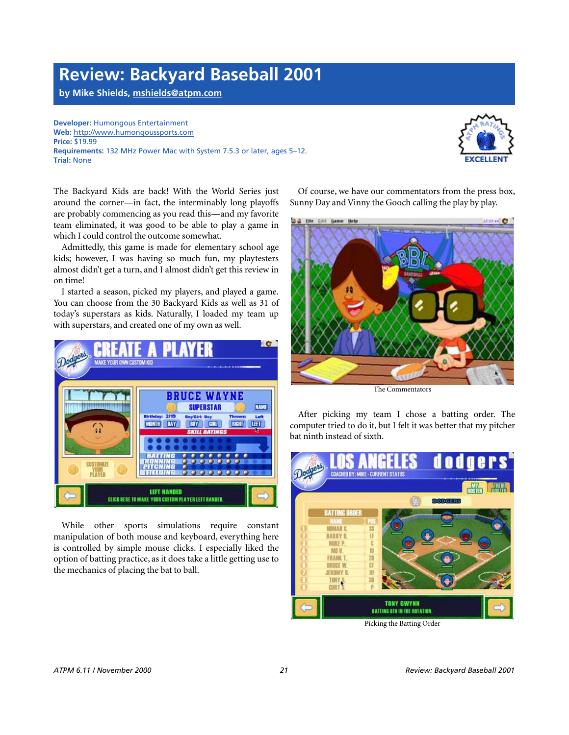### **Review: Backyard Baseball 2001**

**by Mike Shields, [mshields@atpm.com](mailto:dozab@atpm.com)**

**Developer:** Humongous Entertainment **Web:** <http://www.humongoussports.com> **Price:** \$19.99 **Requirements:** 132 MHz Power Mac with System 7.5.3 or later, ages 5–12. **Trial:** None



The Backyard Kids are back! With the World Series just around the corner—in fact, the interminably long playoffs are probably commencing as you read this—and my favorite team eliminated, it was good to be able to play a game in which I could control the outcome somewhat.

Admittedly, this game is made for elementary school age kids; however, I was having so much fun, my playtesters almost didn't get a turn, and I almost didn't get this review in on time!

I started a season, picked my players, and played a game. You can choose from the 30 Backyard Kids as well as 31 of today's superstars as kids. Naturally, I loaded my team up with superstars, and created one of my own as well.



While other sports simulations require constant manipulation of both mouse and keyboard, everything here is controlled by simple mouse clicks. I especially liked the option of batting practice, as it does take a little getting use to the mechanics of placing the bat to ball.

Of course, we have our commentators from the press box, Sunny Day and Vinny the Gooch calling the play by play.



The Commentators

After picking my team I chose a batting order. The computer tried to do it, but I felt it was better that my pitcher bat ninth instead of sixth.



Picking the Batting Order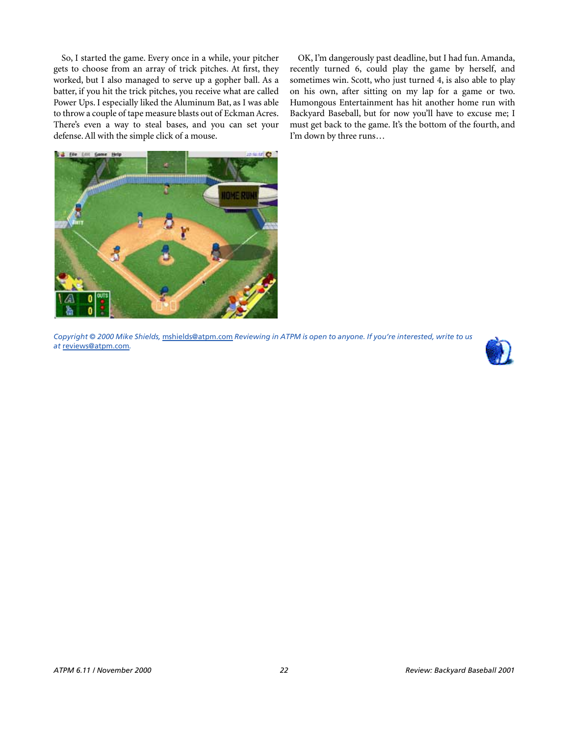So, I started the game. Every once in a while, your pitcher gets to choose from an array of trick pitches. At first, they worked, but I also managed to serve up a gopher ball. As a batter, if you hit the trick pitches, you receive what are called Power Ups. I especially liked the Aluminum Bat, as I was able to throw a couple of tape measure blasts out of Eckman Acres. There's even a way to steal bases, and you can set your defense. All with the simple click of a mouse.

OK, I'm dangerously past deadline, but I had fun. Amanda, recently turned 6, could play the game by herself, and sometimes win. Scott, who just turned 4, is also able to play on his own, after sitting on my lap for a game or two. Humongous Entertainment has hit another home run with Backyard Baseball, but for now you'll have to excuse me; I must get back to the game. It's the bottom of the fourth, and I'm down by three runs…



*Copyright © 2000 Mike Shields,* [mshields@atpm.com](mailto:dozab@atpm.com) *Reviewing in ATPM is open to anyone. If you're interested, write to us at* [reviews@atpm.com](mailto:reviews@atpm.com)*.*

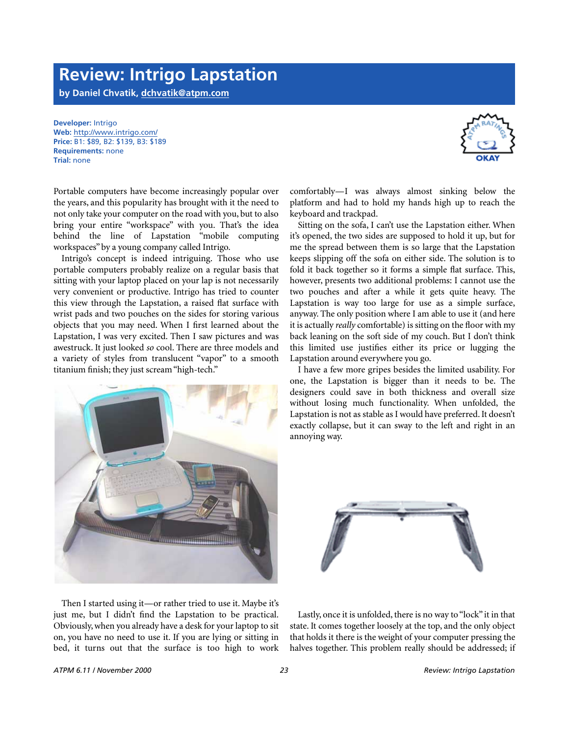### **Review: Intrigo Lapstation**

**by Daniel Chvatik, [dchvatik@atpm.com](mailto:dchvatik@atpm.com)**

**Milling American** 

**Developer:** Intrigo **Web:** <http://www.intrigo.com/> **Price:** B1: \$89, B2: \$139, B3: \$189 **Requirements:** none **Trial:** none

Portable computers have become increasingly popular over the years, and this popularity has brought with it the need to not only take your computer on the road with you, but to also bring your entire "workspace" with you. That's the idea behind the line of Lapstation "mobile computing workspaces" by a young company called Intrigo.

Intrigo's concept is indeed intriguing. Those who use portable computers probably realize on a regular basis that sitting with your laptop placed on your lap is not necessarily very convenient or productive. Intrigo has tried to counter this view through the Lapstation, a raised flat surface with wrist pads and two pouches on the sides for storing various objects that you may need. When I first learned about the Lapstation, I was very excited. Then I saw pictures and was awestruck. It just looked *so* cool. There are three models and a variety of styles from translucent "vapor" to a smooth titanium finish; they just scream "high-tech."

Then I started using it—or rather tried to use it. Maybe it's just me, but I didn't find the Lapstation to be practical. Obviously, when you already have a desk for your laptop to sit on, you have no need to use it. If you are lying or sitting in bed, it turns out that the surface is too high to work

**Trong and and the Control of Children** 



Lastly, once it is unfolded, there is no way to "lock" it in that state. It comes together loosely at the top, and the only object that holds it there is the weight of your computer pressing the halves together. This problem really should be addressed; if

comfortably—I was always almost sinking below the platform and had to hold my hands high up to reach the keyboard and trackpad.

Sitting on the sofa, I can't use the Lapstation either. When it's opened, the two sides are supposed to hold it up, but for me the spread between them is so large that the Lapstation keeps slipping off the sofa on either side. The solution is to fold it back together so it forms a simple flat surface. This, however, presents two additional problems: I cannot use the two pouches and after a while it gets quite heavy. The Lapstation is way too large for use as a simple surface, anyway. The only position where I am able to use it (and here it is actually *really* comfortable) is sitting on the floor with my back leaning on the soft side of my couch. But I don't think this limited use justifies either its price or lugging the



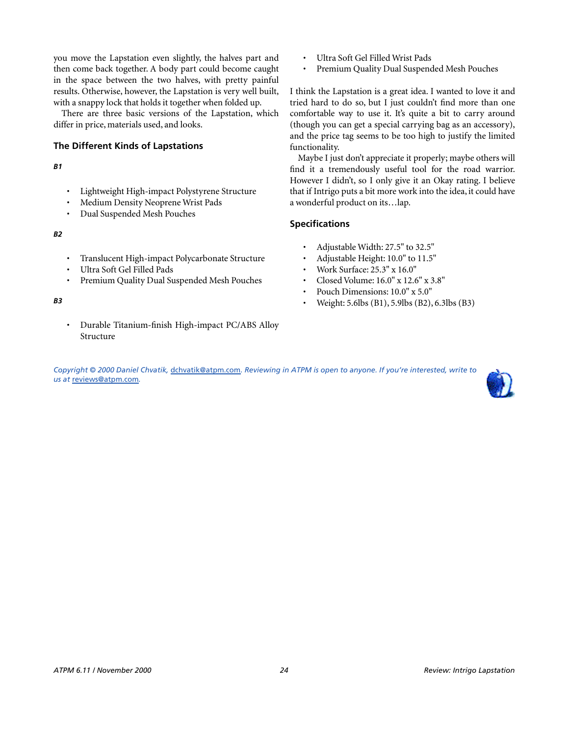you move the Lapstation even slightly, the halves part and then come back together. A body part could become caught in the space between the two halves, with pretty painful results. Otherwise, however, the Lapstation is very well built, with a snappy lock that holds it together when folded up.

There are three basic versions of the Lapstation, which differ in price, materials used, and looks.

### **The Different Kinds of Lapstations**

*B1*

- Lightweight High-impact Polystyrene Structure
- Medium Density Neoprene Wrist Pads
- Dual Suspended Mesh Pouches

*B2*

- Translucent High-impact Polycarbonate Structure
- Ultra Soft Gel Filled Pads
- Premium Quality Dual Suspended Mesh Pouches
- *B3*
- Durable Titanium-finish High-impact PC/ABS Alloy Structure
- Ultra Soft Gel Filled Wrist Pads
- Premium Quality Dual Suspended Mesh Pouches

I think the Lapstation is a great idea. I wanted to love it and tried hard to do so, but I just couldn't find more than one comfortable way to use it. It's quite a bit to carry around (though you can get a special carrying bag as an accessory), and the price tag seems to be too high to justify the limited functionality.

Maybe I just don't appreciate it properly; maybe others will find it a tremendously useful tool for the road warrior. However I didn't, so I only give it an Okay rating. I believe that if Intrigo puts a bit more work into the idea, it could have a wonderful product on its…lap.

### **Specifications**

- Adjustable Width: 27.5" to 32.5"
- Adjustable Height: 10.0" to 11.5"
- Work Surface: 25.3" x 16.0"
- Closed Volume: 16.0" x 12.6" x 3.8"
- Pouch Dimensions: 10.0" x 5.0"
- Weight: 5.6lbs (B1), 5.9lbs (B2), 6.3lbs (B3)

*Copyright © 2000 Daniel Chvatik,* [dchvatik@atpm.com](mailto:dchvatik@atpm.com)*. Reviewing in ATPM is open to anyone. If you're interested, write to us at* [reviews@atpm.com](mailto:reviews@atpm.com)*.*

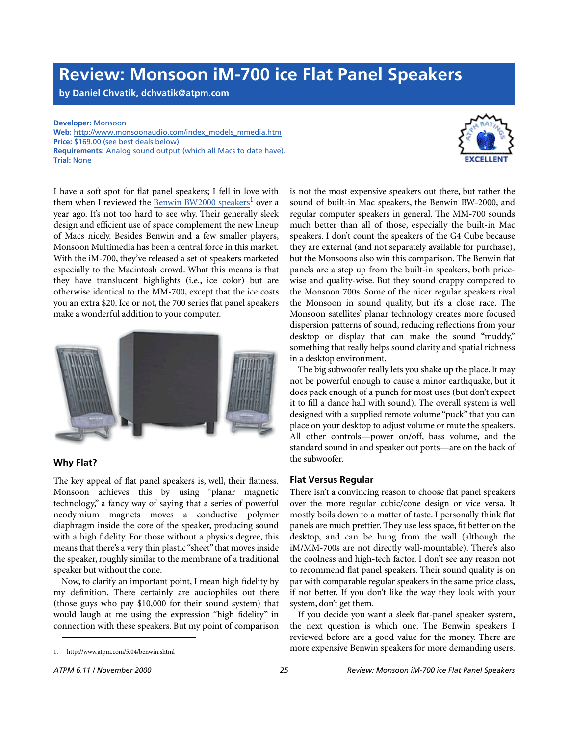### **Review: Monsoon iM-700 ice Flat Panel Speakers**

**by Daniel Chvatik, [dchvatik@atpm.com](mailto:dchvatik@atpm.com)**

**Developer:** Monsoon

**Web:** [http://www.monsoonaudio.com/index\\_models\\_mmedia.htm](http://www.monsoonaudio.com/index_models_mmedia.htm) **Price:** \$169.00 (see best deals below) **Requirements:** Analog sound output (which all Macs to date have). **Trial:** None

I have a soft spot for flat panel speakers; I fell in love with them when I reviewed the [Benwin BW2000 speakers](http://www.atpm.com/5.04/benwin.shtml)<sup>1</sup> over a year ago. It's not too hard to see why. Their generally sleek design and efficient use of space complement the new lineup of Macs nicely. Besides Benwin and a few smaller players, Monsoon Multimedia has been a central force in this market. With the iM-700, they've released a set of speakers marketed especially to the Macintosh crowd. What this means is that they have translucent highlights (i.e., ice color) but are otherwise identical to the MM-700, except that the ice costs you an extra \$20. Ice or not, the 700 series flat panel speakers make a wonderful addition to your computer.



### **Why Flat?**

The key appeal of flat panel speakers is, well, their flatness. Monsoon achieves this by using "planar magnetic technology," a fancy way of saying that a series of powerful neodymium magnets moves a conductive polymer diaphragm inside the core of the speaker, producing sound with a high fidelity. For those without a physics degree, this means that there's a very thin plastic "sheet" that moves inside the speaker, roughly similar to the membrane of a traditional speaker but without the cone.

Now, to clarify an important point, I mean high fidelity by my definition. There certainly are audiophiles out there (those guys who pay \$10,000 for their sound system) that would laugh at me using the expression "high fidelity" in connection with these speakers. But my point of comparison

1. http://www.atpm.com/5.04/benwin.shtml

is not the most expensive speakers out there, but rather the sound of built-in Mac speakers, the Benwin BW-2000, and regular computer speakers in general. The MM-700 sounds much better than all of those, especially the built-in Mac speakers. I don't count the speakers of the G4 Cube because they are external (and not separately available for purchase), but the Monsoons also win this comparison. The Benwin flat panels are a step up from the built-in speakers, both pricewise and quality-wise. But they sound crappy compared to the Monsoon 700s. Some of the nicer regular speakers rival the Monsoon in sound quality, but it's a close race. The Monsoon satellites' planar technology creates more focused dispersion patterns of sound, reducing reflections from your desktop or display that can make the sound "muddy," something that really helps sound clarity and spatial richness in a desktop environment.

The big subwoofer really lets you shake up the place. It may not be powerful enough to cause a minor earthquake, but it does pack enough of a punch for most uses (but don't expect it to fill a dance hall with sound). The overall system is well designed with a supplied remote volume "puck" that you can place on your desktop to adjust volume or mute the speakers. All other controls—power on/off, bass volume, and the standard sound in and speaker out ports—are on the back of the subwoofer.

#### **Flat Versus Regular**

There isn't a convincing reason to choose flat panel speakers over the more regular cubic/cone design or vice versa. It mostly boils down to a matter of taste. I personally think flat panels are much prettier. They use less space, fit better on the desktop, and can be hung from the wall (although the iM/MM-700s are not directly wall-mountable). There's also the coolness and high-tech factor. I don't see any reason not to recommend flat panel speakers. Their sound quality is on par with comparable regular speakers in the same price class, if not better. If you don't like the way they look with your system, don't get them.

If you decide you want a sleek flat-panel speaker system, the next question is which one. The Benwin speakers I reviewed before are a good value for the money. There are more expensive Benwin speakers for more demanding users.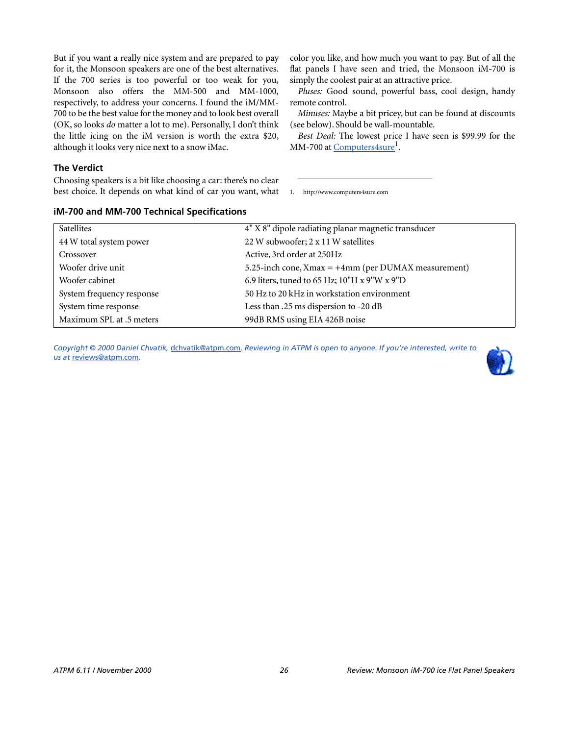But if you want a really nice system and are prepared to pay for it, the Monsoon speakers are one of the best alternatives. If the 700 series is too powerful or too weak for you, Monsoon also offers the MM-500 and MM-1000, respectively, to address your concerns. I found the iM/MM-700 to be the best value for the money and to look best overall (OK, so looks *do* matter a lot to me). Personally, I don't think the little icing on the iM version is worth the extra \$20, although it looks very nice next to a snow iMac.

**The Verdict**

Choosing speakers is a bit like choosing a car: there's no clear best choice. It depends on what kind of car you want, what

**iM-700 and MM-700 Technical Specifications**

color you like, and how much you want to pay. But of all the flat panels I have seen and tried, the Monsoon iM-700 is simply the coolest pair at an attractive price.

*Pluses:* Good sound, powerful bass, cool design, handy remote control.

*Minuses:* Maybe a bit pricey, but can be found at discounts (see below). Should be wall-mountable.

*Best Deal:* The lowest price I have seen is \$99.99 for the MM-700 at Computers4sure<sup>1</sup>.

1. http://www.computers4sure.com

| <b>Satellites</b>         | 4" X 8" dipole radiating planar magnetic transducer       |
|---------------------------|-----------------------------------------------------------|
| 44 W total system power   | 22 W subwoofer; 2 x 11 W satellites                       |
| Crossover                 | Active, 3rd order at 250Hz                                |
| Woofer drive unit         | 5.25-inch cone, $X$ max = $+4$ mm (per DUMAX measurement) |
| Woofer cabinet            | 6.9 liters, tuned to 65 Hz; 10"H x 9"W x 9"D              |
| System frequency response | 50 Hz to 20 kHz in workstation environment                |
| System time response      | Less than .25 ms dispersion to -20 dB                     |
| Maximum SPL at .5 meters  | 99dB RMS using EIA 426B noise                             |

*Copyright © 2000 Daniel Chvatik,* [dchvatik@atpm.com](mailto:dchvatik@atpm.com)*. Reviewing in ATPM is open to anyone. If you're interested, write to us at* [reviews@atpm.com](mailto:reviews@atpm.com)*.*

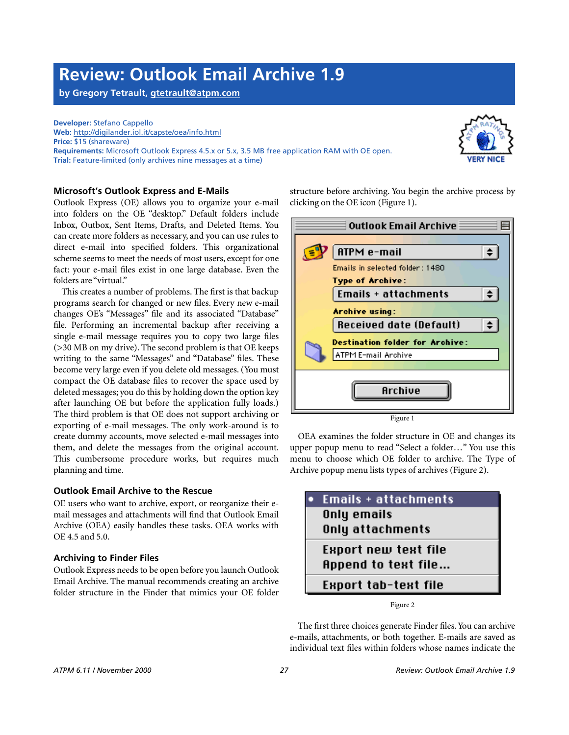### **Review: Outlook Email Archive 1.9**

**by Gregory Tetrault, [gtetrault@atpm.com](mailto:gtetrault@atpm.com)**

**Developer:** Stefano Cappello **Web:** <http://digilander.iol.it/capste/oea/info.html> **Price:** \$15 (shareware) **Requirements:** Microsoft Outlook Express 4.5.x or 5.x, 3.5 MB free application RAM with OE open. **Trial:** Feature-limited (only archives nine messages at a time)



### **Microsoft's Outlook Express and E-Mails**

Outlook Express (OE) allows you to organize your e-mail into folders on the OE "desktop." Default folders include Inbox, Outbox, Sent Items, Drafts, and Deleted Items. You can create more folders as necessary, and you can use rules to direct e-mail into specified folders. This organizational scheme seems to meet the needs of most users, except for one fact: your e-mail files exist in one large database. Even the folders are "virtual."

This creates a number of problems. The first is that backup programs search for changed or new files. Every new e-mail changes OE's "Messages" file and its associated "Database" file. Performing an incremental backup after receiving a single e-mail message requires you to copy two large files (>30 MB on my drive). The second problem is that OE keeps writing to the same "Messages" and "Database" files. These become very large even if you delete old messages. (You must compact the OE database files to recover the space used by deleted messages; you do this by holding down the option key after launching OE but before the application fully loads.) The third problem is that OE does not support archiving or exporting of e-mail messages. The only work-around is to create dummy accounts, move selected e-mail messages into them, and delete the messages from the original account. This cumbersome procedure works, but requires much planning and time.

### **Outlook Email Archive to the Rescue**

OE users who want to archive, export, or reorganize their email messages and attachments will find that Outlook Email Archive (OEA) easily handles these tasks. OEA works with OE 4.5 and 5.0.

### **Archiving to Finder Files**

Outlook Express needs to be open before you launch Outlook Email Archive. The manual recommends creating an archive folder structure in the Finder that mimics your OE folder

structure before archiving. You begin the archive process by clicking on the OE icon (Figure 1).



OEA examines the folder structure in OE and changes its upper popup menu to read "Select a folder…" You use this menu to choose which OE folder to archive. The Type of Archive popup menu lists types of archives (Figure 2).

| Emails + attachments        |  |
|-----------------------------|--|
| Only emails                 |  |
| Only attachments            |  |
| <b>Export new text file</b> |  |
| <b>Append to text file</b>  |  |
| Export tab-text file        |  |

Figure 2

The first three choices generate Finder files. You can archive e-mails, attachments, or both together. E-mails are saved as individual text files within folders whose names indicate the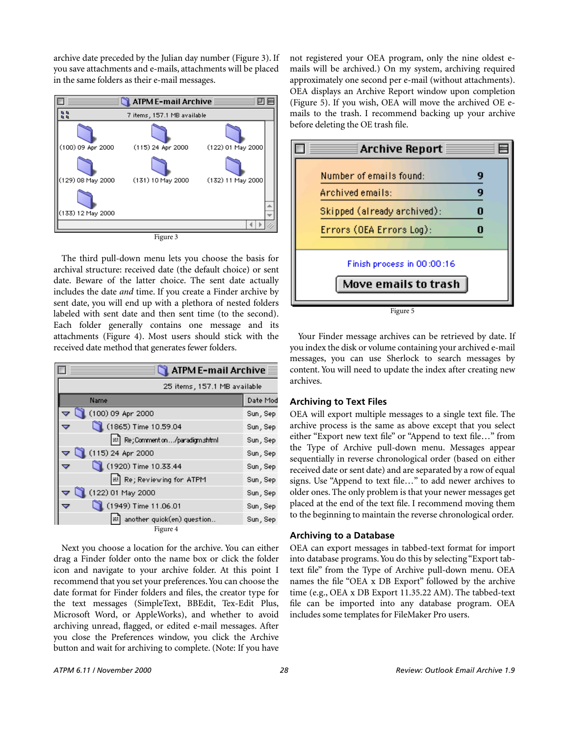archive date preceded by the Julian day number (Figure 3). If you save attachments and e-mails, attachments will be placed in the same folders as their e-mail messages.



The third pull-down menu lets you choose the basis for archival structure: received date (the default choice) or sent date. Beware of the latter choice. The sent date actually includes the date *and* time. If you create a Finder archive by sent date, you will end up with a plethora of nested folders labeled with sent date and then sent time (to the second). Each folder generally contains one message and its attachments (Figure 4). Most users should stick with the received date method that generates fewer folders.

| <b>ATPM E-mail Archive</b>    |          |  |
|-------------------------------|----------|--|
| 25 items, 157.1 MB available  |          |  |
| Name                          | Date Mod |  |
| (100) 09 Apr 2000             | Sun, Sep |  |
| (1865) Time 10.59.04          | Sun, Sep |  |
| Re; Comment on/paradigm.shtml | Sun, Sep |  |
| (115) 24 Apr 2000             | Sun, Sep |  |
| (1920) Time 10.33.44          | Sun, Sep |  |
| 용 Re; Reviewing for ATPM      | Sun, Sep |  |
| (122) 01 May 2000             | Sun, Sep |  |
| (1949) Time 11.06.01          | Sun, Sep |  |
| another quick(en) question    | Sun, Sep |  |
| Figure 4                      |          |  |

Next you choose a location for the archive. You can either drag a Finder folder onto the name box or click the folder icon and navigate to your archive folder. At this point I recommend that you set your preferences. You can choose the date format for Finder folders and files, the creator type for the text messages (SimpleText, BBEdit, Tex-Edit Plus, Microsoft Word, or AppleWorks), and whether to avoid archiving unread, flagged, or edited e-mail messages. After you close the Preferences window, you click the Archive button and wait for archiving to complete. (Note: If you have

not registered your OEA program, only the nine oldest emails will be archived.) On my system, archiving required approximately one second per e-mail (without attachments). OEA displays an Archive Report window upon completion (Figure 5). If you wish, OEA will move the archived OE emails to the trash. I recommend backing up your archive before deleting the OE trash file.



Your Finder message archives can be retrieved by date. If you index the disk or volume containing your archived e-mail messages, you can use Sherlock to search messages by content. You will need to update the index after creating new archives.

### **Archiving to Text Files**

OEA will export multiple messages to a single text file. The archive process is the same as above except that you select either "Export new text file" or "Append to text file…" from the Type of Archive pull-down menu. Messages appear sequentially in reverse chronological order (based on either received date or sent date) and are separated by a row of equal signs. Use "Append to text file…" to add newer archives to older ones. The only problem is that your newer messages get placed at the end of the text file. I recommend moving them to the beginning to maintain the reverse chronological order.

### **Archiving to a Database**

OEA can export messages in tabbed-text format for import into database programs. You do this by selecting "Export tabtext file" from the Type of Archive pull-down menu. OEA names the file "OEA x DB Export" followed by the archive time (e.g., OEA x DB Export 11.35.22 AM). The tabbed-text file can be imported into any database program. OEA includes some templates for FileMaker Pro users.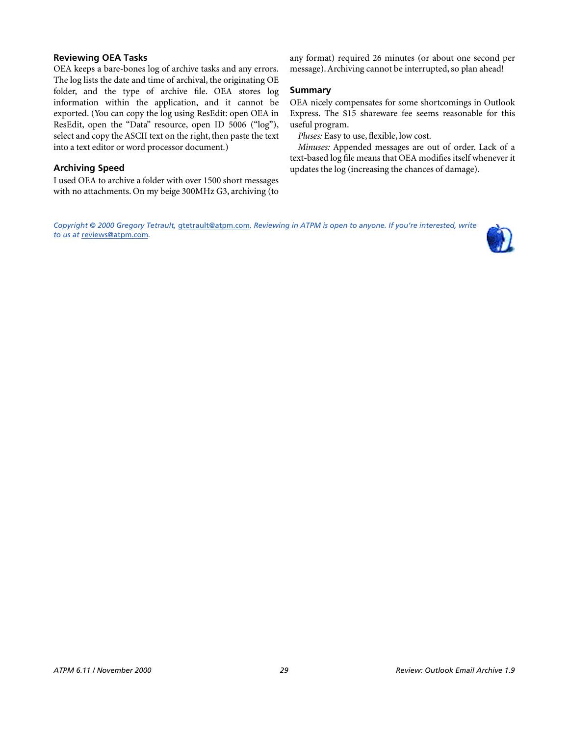### **Reviewing OEA Tasks**

OEA keeps a bare-bones log of archive tasks and any errors. The log lists the date and time of archival, the originating OE folder, and the type of archive file. OEA stores log information within the application, and it cannot be exported. (You can copy the log using ResEdit: open OEA in ResEdit, open the "Data" resource, open ID 5006 ("log"), select and copy the ASCII text on the right, then paste the text into a text editor or word processor document.)

### **Archiving Speed**

I used OEA to archive a folder with over 1500 short messages with no attachments. On my beige 300MHz G3, archiving (to any format) required 26 minutes (or about one second per message). Archiving cannot be interrupted, so plan ahead!

### **Summary**

OEA nicely compensates for some shortcomings in Outlook Express. The \$15 shareware fee seems reasonable for this useful program.

*Pluses:* Easy to use, flexible, low cost.

*Minuses:* Appended messages are out of order. Lack of a text-based log file means that OEA modifies itself whenever it updates the log (increasing the chances of damage).

*Copyright © 2000 Gregory Tetrault,* [gtetrault@atpm.com](mailto:gtetrault@atpm.com)*. Reviewing in ATPM is open to anyone. If you're interested, write to us at* [reviews@atpm.com](mailto:reviews@atpm.com)*.*

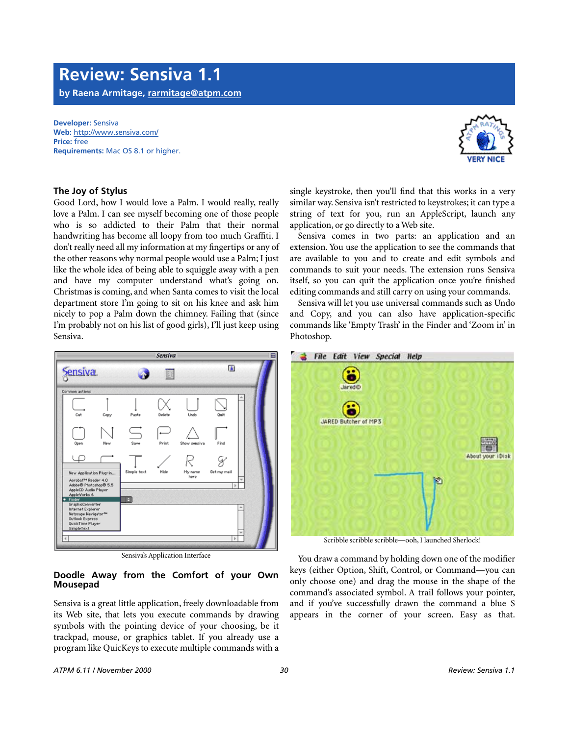### **Review: Sensiva 1.1**

**by Raena Armitage, [rarmitage@atpm.com](mailto:dozab@atpm.com)**

**Developer:** Sensiva **Web:** <http://www.sensiva.com/> **Price:** free **Requirements:** Mac OS 8.1 or higher.

### **The Joy of Stylus**

Good Lord, how I would love a Palm. I would really, really love a Palm. I can see myself becoming one of those people who is so addicted to their Palm that their normal handwriting has become all loopy from too much Graffiti. I don't really need all my information at my fingertips or any of the other reasons why normal people would use a Palm; I just like the whole idea of being able to squiggle away with a pen and have my computer understand what's going on. Christmas is coming, and when Santa comes to visit the local department store I'm going to sit on his knee and ask him nicely to pop a Palm down the chimney. Failing that (since I'm probably not on his list of good girls), I'll just keep using Sensiva.



Sensiva's Application Interface

### **Doodle Away from the Comfort of your Own Mousepad**

Sensiva is a great little application, freely downloadable from its Web site, that lets you execute commands by drawing symbols with the pointing device of your choosing, be it trackpad, mouse, or graphics tablet. If you already use a program like QuicKeys to execute multiple commands with a single keystroke, then you'll find that this works in a very similar way. Sensiva isn't restricted to keystrokes; it can type a string of text for you, run an AppleScript, launch any application, or go directly to a Web site.

Sensiva comes in two parts: an application and an extension. You use the application to see the commands that are available to you and to create and edit symbols and commands to suit your needs. The extension runs Sensiva itself, so you can quit the application once you're finished editing commands and still carry on using your commands.

Sensiva will let you use universal commands such as Undo and Copy, and you can also have application-specific commands like 'Empty Trash' in the Finder and 'Zoom in' in Photoshop.



Scribble scribble scribble—ooh, I launched Sherlock!

You draw a command by holding down one of the modifier keys (either Option, Shift, Control, or Command—you can only choose one) and drag the mouse in the shape of the command's associated symbol. A trail follows your pointer, and if you've successfully drawn the command a blue S appears in the corner of your screen. Easy as that.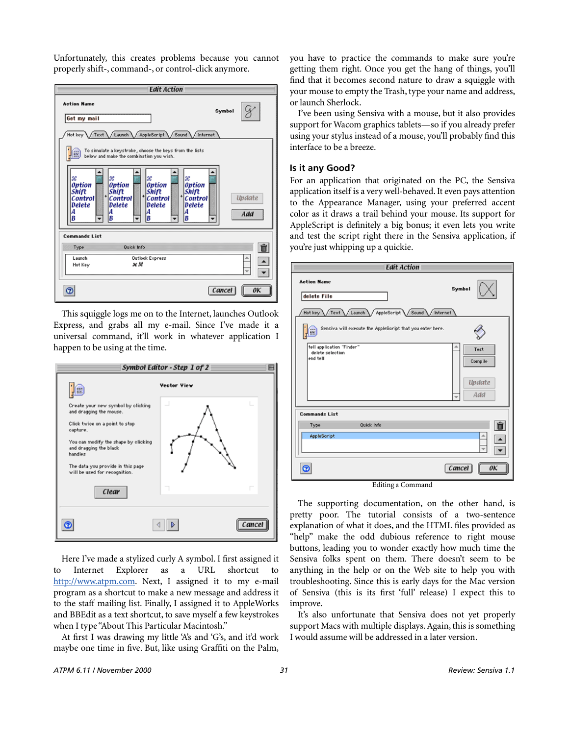Unfortunately, this creates problems because you cannot properly shift-, command-, or control-click anymore.



This squiggle logs me on to the Internet, launches Outlook Express, and grabs all my e-mail. Since I've made it a universal command, it'll work in whatever application I happen to be using at the time.



Here I've made a stylized curly A symbol. I first assigned it to Internet Explorer as a URL shortcut to <http://www.atpm.com>. Next, I assigned it to my e-mail program as a shortcut to make a new message and address it to the staff mailing list. Finally, I assigned it to AppleWorks and BBEdit as a text shortcut, to save myself a few keystrokes when I type "About This Particular Macintosh."

At first I was drawing my little 'A's and 'G's, and it'd work maybe one time in five. But, like using Graffiti on the Palm,

you have to practice the commands to make sure you're getting them right. Once you get the hang of things, you'll find that it becomes second nature to draw a squiggle with your mouse to empty the Trash, type your name and address, or launch Sherlock.

I've been using Sensiva with a mouse, but it also provides support for Wacom graphics tablets—so if you already prefer using your stylus instead of a mouse, you'll probably find this interface to be a breeze.

### **Is it any Good?**

For an application that originated on the PC, the Sensiva application itself is a very well-behaved. It even pays attention to the Appearance Manager, using your preferred accent color as it draws a trail behind your mouse. Its support for AppleScript is definitely a big bonus; it even lets you write and test the script right there in the Sensiva application, if you're just whipping up a quickie.

| <b>Edit Action</b>                                                                                                              |                                         |  |  |  |
|---------------------------------------------------------------------------------------------------------------------------------|-----------------------------------------|--|--|--|
| <b>Action Name</b><br>delete File                                                                                               | Symbol                                  |  |  |  |
| AppleScript \ Sound \ Internet<br>Hot key<br>/ Launch<br>Text<br>Sensiva will execute the AppleScript that you enter here.<br>僵 |                                         |  |  |  |
| tell application "Finder"<br>delete selection<br>end tell                                                                       | Test<br>Compile<br><b>Update</b><br>Add |  |  |  |
| <b>Commands List</b>                                                                                                            |                                         |  |  |  |
| Quick Info<br>Type                                                                                                              | Ô                                       |  |  |  |
| AppleScript                                                                                                                     |                                         |  |  |  |
| Θ<br>$Idition g Command$                                                                                                        | $\lfloor$ Cancel                        |  |  |  |

Editing a Command

The supporting documentation, on the other hand, is pretty poor. The tutorial consists of a two-sentence explanation of what it does, and the HTML files provided as "help" make the odd dubious reference to right mouse buttons, leading you to wonder exactly how much time the Sensiva folks spent on them. There doesn't seem to be anything in the help or on the Web site to help you with troubleshooting. Since this is early days for the Mac version of Sensiva (this is its first 'full' release) I expect this to improve.

It's also unfortunate that Sensiva does not yet properly support Macs with multiple displays. Again, this is something I would assume will be addressed in a later version.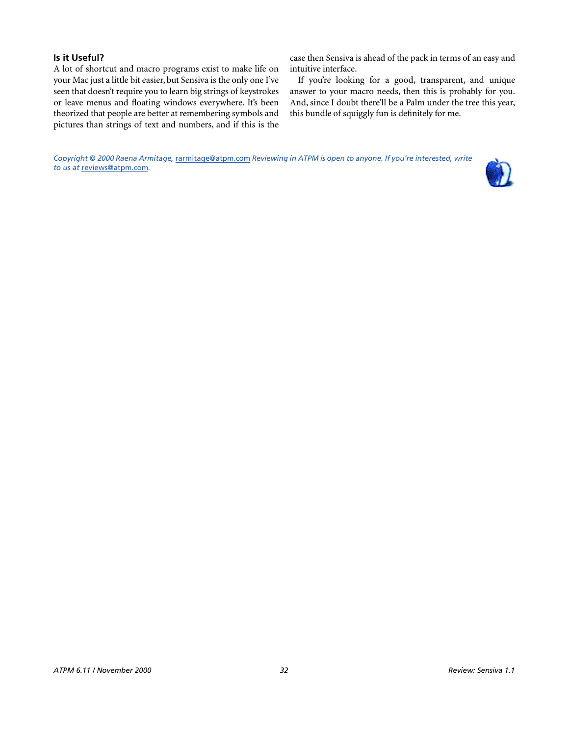### **Is it Useful?**

A lot of shortcut and macro programs exist to make life on your Mac just a little bit easier, but Sensiva is the only one I've seen that doesn't require you to learn big strings of keystrokes or leave menus and floating windows everywhere. It's been theorized that people are better at remembering symbols and pictures than strings of text and numbers, and if this is the

case then Sensiva is ahead of the pack in terms of an easy and intuitive interface.

If you're looking for a good, transparent, and unique answer to your macro needs, then this is probably for you. And, since I doubt there'll be a Palm under the tree this year, this bundle of squiggly fun is definitely for me.

*Copyright © 2000 Raena Armitage,* [rarmitage@atpm.com](mailto:dozab@atpm.com) *Reviewing in ATPM is open to anyone. If you're interested, write to us at* [reviews@atpm.com](mailto:reviews@atpm.com)*.*

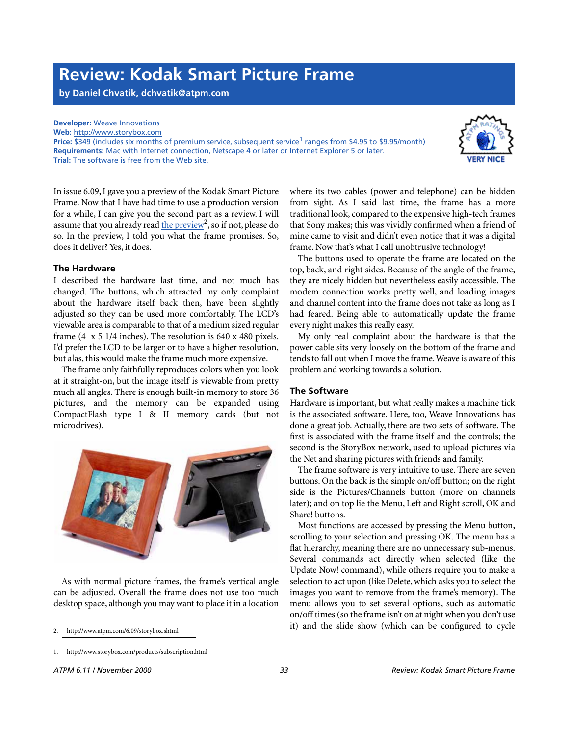### **Review: Kodak Smart Picture Frame**

**by Daniel Chvatik, [dchvatik@atpm.com](mailto:dchvatik@atpm.com)**

### **Developer:** Weave Innovations

**Web:** <http://www.storybox.com>

**Price: \$349 (includes six months of premium service, [subsequent service](http://www.storybox.com/products/subscription.html)<sup>1</sup> ranges from \$4.95 to \$9.95/month) Requirements:** Mac with Internet connection, Netscape 4 or later or Internet Explorer 5 or later. **Trial:** The software is free from the Web site.



In issue 6.09, I gave you a preview of the Kodak Smart Picture Frame. Now that I have had time to use a production version for a while, I can give you the second part as a review. I will assume that you already read the preview<sup>2</sup>, so if not, please do so. In the preview, I told you what the frame promises. So, does it deliver? Yes, it does.

### **The Hardware**

I described the hardware last time, and not much has changed. The buttons, which attracted my only complaint about the hardware itself back then, have been slightly adjusted so they can be used more comfortably. The LCD's viewable area is comparable to that of a medium sized regular frame (4 x 5 1/4 inches). The resolution is 640 x 480 pixels. I'd prefer the LCD to be larger or to have a higher resolution, but alas, this would make the frame much more expensive.

The frame only faithfully reproduces colors when you look at it straight-on, but the image itself is viewable from pretty much all angles. There is enough built-in memory to store 36 pictures, and the memory can be expanded using CompactFlash type I & II memory cards (but not microdrives).



As with normal picture frames, the frame's vertical angle can be adjusted. Overall the frame does not use too much desktop space, although you may want to place it in a location

where its two cables (power and telephone) can be hidden from sight. As I said last time, the frame has a more traditional look, compared to the expensive high-tech frames that Sony makes; this was vividly confirmed when a friend of mine came to visit and didn't even notice that it was a digital frame. Now that's what I call unobtrusive technology!

The buttons used to operate the frame are located on the top, back, and right sides. Because of the angle of the frame, they are nicely hidden but nevertheless easily accessible. The modem connection works pretty well, and loading images and channel content into the frame does not take as long as I had feared. Being able to automatically update the frame every night makes this really easy.

My only real complaint about the hardware is that the power cable sits very loosely on the bottom of the frame and tends to fall out when I move the frame. Weave is aware of this problem and working towards a solution.

### **The Software**

Hardware is important, but what really makes a machine tick is the associated software. Here, too, Weave Innovations has done a great job. Actually, there are two sets of software. The first is associated with the frame itself and the controls; the second is the StoryBox network, used to upload pictures via the Net and sharing pictures with friends and family.

The frame software is very intuitive to use. There are seven buttons. On the back is the simple on/off button; on the right side is the Pictures/Channels button (more on channels later); and on top lie the Menu, Left and Right scroll, OK and Share! buttons.

Most functions are accessed by pressing the Menu button, scrolling to your selection and pressing OK. The menu has a flat hierarchy, meaning there are no unnecessary sub-menus. Several commands act directly when selected (like the Update Now! command), while others require you to make a selection to act upon (like Delete, which asks you to select the images you want to remove from the frame's memory). The menu allows you to set several options, such as automatic on/off times (so the frame isn't on at night when you don't use it) and the slide show (which can be configured to cycle

<sup>2.</sup> http://www.atpm.com/6.09/storybox.shtml

<sup>1.</sup> http://www.storybox.com/products/subscription.html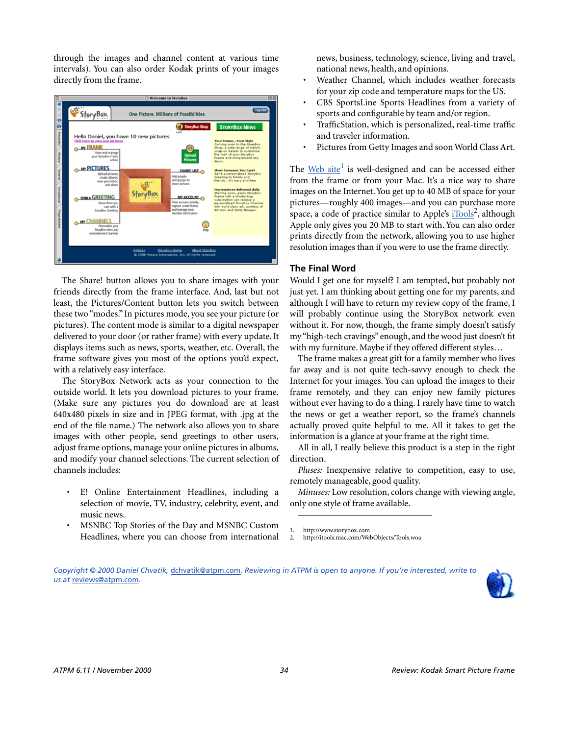through the images and channel content at various time intervals). You can also order Kodak prints of your images directly from the frame.



The Share! button allows you to share images with your friends directly from the frame interface. And, last but not least, the Pictures/Content button lets you switch between these two "modes." In pictures mode, you see your picture (or pictures). The content mode is similar to a digital newspaper delivered to your door (or rather frame) with every update. It displays items such as news, sports, weather, etc. Overall, the frame software gives you most of the options you'd expect, with a relatively easy interface.

The StoryBox Network acts as your connection to the outside world. It lets you download pictures to your frame. (Make sure any pictures you do download are at least 640x480 pixels in size and in JPEG format, with .jpg at the end of the file name.) The network also allows you to share images with other people, send greetings to other users, adjust frame options, manage your online pictures in albums, and modify your channel selections. The current selection of channels includes:

- E! Online Entertainment Headlines, including a selection of movie, TV, industry, celebrity, event, and music news.
- MSNBC Top Stories of the Day and MSNBC Custom Headlines, where you can choose from international

news, business, technology, science, living and travel, national news, health, and opinions.

- Weather Channel, which includes weather forecasts for your zip code and temperature maps for the US.
- CBS SportsLine Sports Headlines from a variety of sports and configurable by team and/or region.
- TrafficStation, which is personalized, real-time traffic and traveler information.
- Pictures from Getty Images and soon World Class Art.

The [Web site](http://www.storybox.com)<sup>1</sup> is well-designed and can be accessed either from the frame or from your Mac. It's a nice way to share images on the Internet. You get up to 40 MB of space for your pictures—roughly 400 images—and you can purchase more space, a code of practice similar to Apple's [iTools](http://itools.mac.com/WebObjects/Tools.woa)<sup>2</sup>, although Apple only gives you 20 MB to start with. You can also order prints directly from the network, allowing you to use higher resolution images than if you were to use the frame directly.

### **The Final Word**

Would I get one for myself? I am tempted, but probably not just yet. I am thinking about getting one for my parents, and although I will have to return my review copy of the frame, I will probably continue using the StoryBox network even without it. For now, though, the frame simply doesn't satisfy my "high-tech cravings" enough, and the wood just doesn't fit with my furniture. Maybe if they offered different styles…

The frame makes a great gift for a family member who lives far away and is not quite tech-savvy enough to check the Internet for your images. You can upload the images to their frame remotely, and they can enjoy new family pictures without ever having to do a thing. I rarely have time to watch the news or get a weather report, so the frame's channels actually proved quite helpful to me. All it takes to get the information is a glance at your frame at the right time.

All in all, I really believe this product is a step in the right direction.

*Pluses:* Inexpensive relative to competition, easy to use, remotely manageable, good quality.

*Minuses:* Low resolution, colors change with viewing angle, only one style of frame available.

<sup>2.</sup> http://itools.mac.com/WebObjects/Tools.woa





<sup>1.</sup> http://www.storybox.com<br>2. http://itools.mac.com/Wel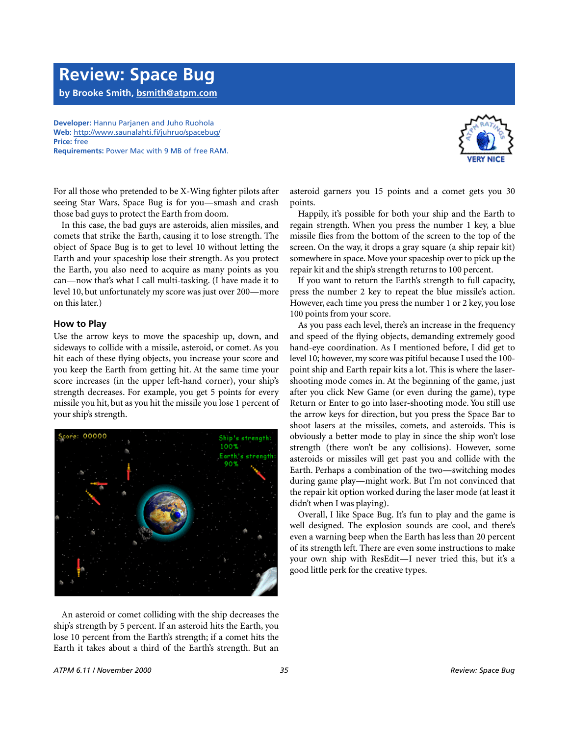### **Review: Space Bug**

**by Brooke Smith, [bsmith@atpm.com](mailto:bsmith@atpm.com)**

**Developer:** Hannu Parjanen and Juho Ruohola **Web:** <http://www.saunalahti.fi/juhruo/spacebug/> **Price:** free **Requirements:** Power Mac with 9 MB of free RAM.



For all those who pretended to be X-Wing fighter pilots after seeing Star Wars, Space Bug is for you—smash and crash those bad guys to protect the Earth from doom.

In this case, the bad guys are asteroids, alien missiles, and comets that strike the Earth, causing it to lose strength. The object of Space Bug is to get to level 10 without letting the Earth and your spaceship lose their strength. As you protect the Earth, you also need to acquire as many points as you can—now that's what I call multi-tasking. (I have made it to level 10, but unfortunately my score was just over 200—more on this later.)

### **How to Play**

Use the arrow keys to move the spaceship up, down, and sideways to collide with a missile, asteroid, or comet. As you hit each of these flying objects, you increase your score and you keep the Earth from getting hit. At the same time your score increases (in the upper left-hand corner), your ship's strength decreases. For example, you get 5 points for every missile you hit, but as you hit the missile you lose 1 percent of your ship's strength.



An asteroid or comet colliding with the ship decreases the ship's strength by 5 percent. If an asteroid hits the Earth, you lose 10 percent from the Earth's strength; if a comet hits the Earth it takes about a third of the Earth's strength. But an asteroid garners you 15 points and a comet gets you 30 points.

Happily, it's possible for both your ship and the Earth to regain strength. When you press the number 1 key, a blue missile flies from the bottom of the screen to the top of the screen. On the way, it drops a gray square (a ship repair kit) somewhere in space. Move your spaceship over to pick up the repair kit and the ship's strength returns to 100 percent.

If you want to return the Earth's strength to full capacity, press the number 2 key to repeat the blue missile's action. However, each time you press the number 1 or 2 key, you lose 100 points from your score.

As you pass each level, there's an increase in the frequency and speed of the flying objects, demanding extremely good hand-eye coordination. As I mentioned before, I did get to level 10; however, my score was pitiful because I used the 100 point ship and Earth repair kits a lot. This is where the lasershooting mode comes in. At the beginning of the game, just after you click New Game (or even during the game), type Return or Enter to go into laser-shooting mode. You still use the arrow keys for direction, but you press the Space Bar to shoot lasers at the missiles, comets, and asteroids. This is obviously a better mode to play in since the ship won't lose strength (there won't be any collisions). However, some asteroids or missiles will get past you and collide with the Earth. Perhaps a combination of the two—switching modes during game play—might work. But I'm not convinced that the repair kit option worked during the laser mode (at least it didn't when I was playing).

Overall, I like Space Bug. It's fun to play and the game is well designed. The explosion sounds are cool, and there's even a warning beep when the Earth has less than 20 percent of its strength left. There are even some instructions to make your own ship with ResEdit—I never tried this, but it's a good little perk for the creative types.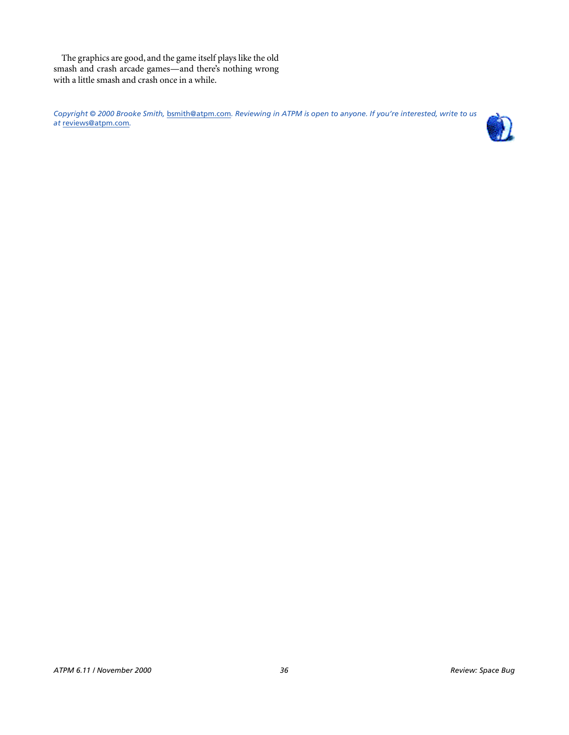The graphics are good, and the game itself plays like the old smash and crash arcade games—and there's nothing wrong with a little smash and crash once in a while.

*Copyright © 2000 Brooke Smith,* [bsmith@atpm.com](mailto:bsmith@atpm.com)*. Reviewing in ATPM is open to anyone. If you're interested, write to us at* [reviews@atpm.com](mailto:reviews@atpm.com)*.*

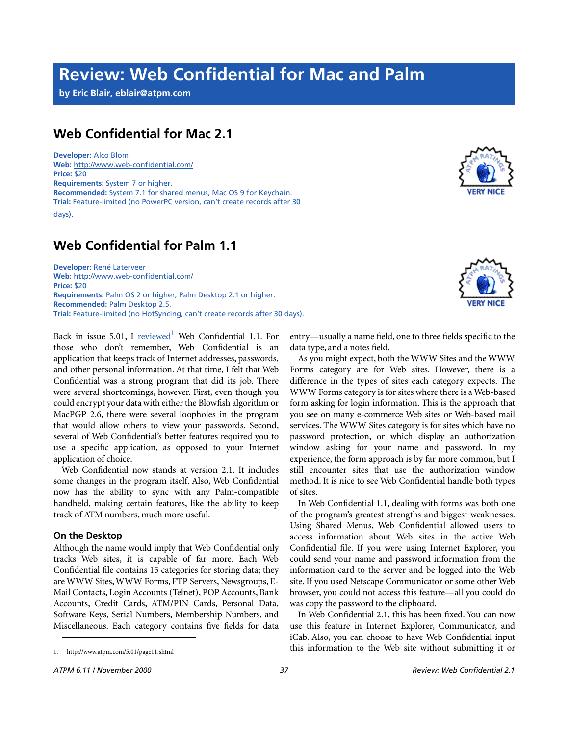### **Review: Web Confidential for Mac and Palm**

**by Eric Blair, [eblair@atpm.com](mailto:eblair@atpm.com)**

### **Web Confidential for Mac 2.1**

**Developer:** Alco Blom **Web:** <http://www.web-confidential.com/> **Price:** \$20 **Requirements:** System 7 or higher. **Recommended:** System 7.1 for shared menus, Mac OS 9 for Keychain. **Trial:** Feature-limited (no PowerPC version, can't create records after 30 days).

### **Web Confidential for Palm 1.1**

**Developer:** René Laterveer **Web:** <http://www.web-confidential.com/> **Price:** \$20 **Requirements:** Palm OS 2 or higher, Palm Desktop 2.1 or higher. **Recommended:** Palm Desktop 2.5. **Trial:** Feature-limited (no HotSyncing, can't create records after 30 days).

Back in issue 5.01, I **[reviewed](http://www.atpm.com/5.01/page11.shtml)**<sup>1</sup> Web Confidential 1.1. For those who don't remember, Web Confidential is an application that keeps track of Internet addresses, passwords, and other personal information. At that time, I felt that Web Confidential was a strong program that did its job. There were several shortcomings, however. First, even though you could encrypt your data with either the Blowfish algorithm or MacPGP 2.6, there were several loopholes in the program that would allow others to view your passwords. Second, several of Web Confidential's better features required you to use a specific application, as opposed to your Internet application of choice.

Web Confidential now stands at version 2.1. It includes some changes in the program itself. Also, Web Confidential now has the ability to sync with any Palm-compatible handheld, making certain features, like the ability to keep track of ATM numbers, much more useful.

### **On the Desktop**

Although the name would imply that Web Confidential only tracks Web sites, it is capable of far more. Each Web Confidential file contains 15 categories for storing data; they are WWW Sites, WWW Forms, FTP Servers, Newsgroups, E-Mail Contacts, Login Accounts (Telnet), POP Accounts, Bank Accounts, Credit Cards, ATM/PIN Cards, Personal Data, Software Keys, Serial Numbers, Membership Numbers, and Miscellaneous. Each category contains five fields for data

entry—usually a name field, one to three fields specific to the data type, and a notes field.

As you might expect, both the WWW Sites and the WWW Forms category are for Web sites. However, there is a difference in the types of sites each category expects. The WWW Forms category is for sites where there is a Web-based form asking for login information. This is the approach that you see on many e-commerce Web sites or Web-based mail services. The WWW Sites category is for sites which have no password protection, or which display an authorization window asking for your name and password. In my experience, the form approach is by far more common, but I still encounter sites that use the authorization window method. It is nice to see Web Confidential handle both types of sites.

In Web Confidential 1.1, dealing with forms was both one of the program's greatest strengths and biggest weaknesses. Using Shared Menus, Web Confidential allowed users to access information about Web sites in the active Web Confidential file. If you were using Internet Explorer, you could send your name and password information from the information card to the server and be logged into the Web site. If you used Netscape Communicator or some other Web browser, you could not access this feature—all you could do was copy the password to the clipboard.

In Web Confidential 2.1, this has been fixed. You can now use this feature in Internet Explorer, Communicator, and iCab. Also, you can choose to have Web Confidential input this information to the Web site without submitting it or



<sup>1.</sup> http://www.atpm.com/5.01/page11.shtml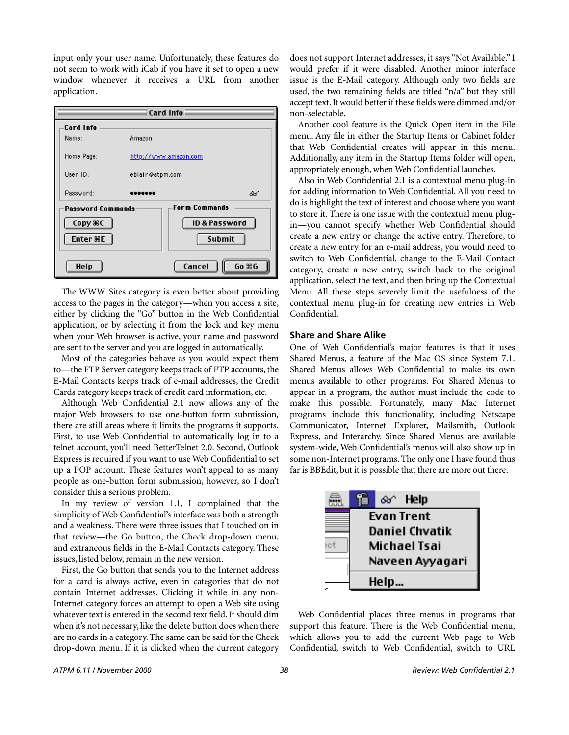input only your user name. Unfortunately, these features do not seem to work with iCab if you have it set to open a new window whenever it receives a URL from another application.



The WWW Sites category is even better about providing access to the pages in the category—when you access a site, either by clicking the "Go" button in the Web Confidential application, or by selecting it from the lock and key menu when your Web browser is active, your name and password are sent to the server and you are logged in automatically.

Most of the categories behave as you would expect them to—the FTP Server category keeps track of FTP accounts, the E-Mail Contacts keeps track of e-mail addresses, the Credit Cards category keeps track of credit card information, etc.

Although Web Confidential 2.1 now allows any of the major Web browsers to use one-button form submission, there are still areas where it limits the programs it supports. First, to use Web Confidential to automatically log in to a telnet account, you'll need BetterTelnet 2.0. Second, Outlook Express is required if you want to use Web Confidential to set up a POP account. These features won't appeal to as many people as one-button form submission, however, so I don't consider this a serious problem.

In my review of version 1.1, I complained that the simplicity of Web Confidential's interface was both a strength and a weakness. There were three issues that I touched on in that review—the Go button, the Check drop-down menu, and extraneous fields in the E-Mail Contacts category. These issues, listed below, remain in the new version.

First, the Go button that sends you to the Internet address for a card is always active, even in categories that do not contain Internet addresses. Clicking it while in any non-Internet category forces an attempt to open a Web site using whatever text is entered in the second text field. It should dim when it's not necessary, like the delete button does when there are no cards in a category. The same can be said for the Check drop-down menu. If it is clicked when the current category does not support Internet addresses, it says "Not Available." I would prefer if it were disabled. Another minor interface issue is the E-Mail category. Although only two fields are used, the two remaining fields are titled "n/a" but they still accept text. It would better if these fields were dimmed and/or non-selectable.

Another cool feature is the Quick Open item in the File menu. Any file in either the Startup Items or Cabinet folder that Web Confidential creates will appear in this menu. Additionally, any item in the Startup Items folder will open, appropriately enough, when Web Confidential launches.

Also in Web Confidential 2.1 is a contextual menu plug-in for adding information to Web Confidential. All you need to do is highlight the text of interest and choose where you want to store it. There is one issue with the contextual menu plugin—you cannot specify whether Web Confidential should create a new entry or change the active entry. Therefore, to create a new entry for an e-mail address, you would need to switch to Web Confidential, change to the E-Mail Contact category, create a new entry, switch back to the original application, select the text, and then bring up the Contextual Menu. All these steps severely limit the usefulness of the contextual menu plug-in for creating new entries in Web Confidential.

### **Share and Share Alike**

One of Web Confidential's major features is that it uses Shared Menus, a feature of the Mac OS since System 7.1. Shared Menus allows Web Confidential to make its own menus available to other programs. For Shared Menus to appear in a program, the author must include the code to make this possible. Fortunately, many Mac Internet programs include this functionality, including Netscape Communicator, Internet Explorer, Mailsmith, Outlook Express, and Interarchy. Since Shared Menus are available system-wide, Web Confidential's menus will also show up in some non-Internet programs. The only one I have found thus far is BBEdit, but it is possible that there are more out there.



Web Confidential places three menus in programs that support this feature. There is the Web Confidential menu, which allows you to add the current Web page to Web Confidential, switch to Web Confidential, switch to URL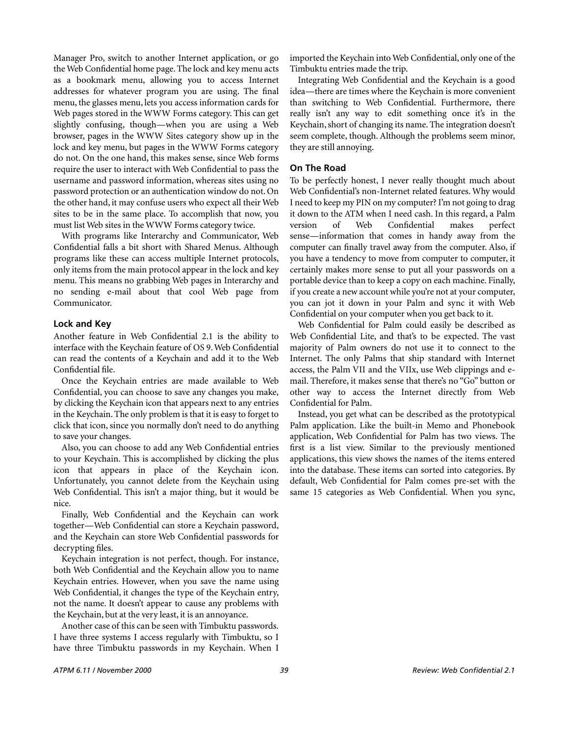Manager Pro, switch to another Internet application, or go the Web Confidential home page. The lock and key menu acts as a bookmark menu, allowing you to access Internet addresses for whatever program you are using. The final menu, the glasses menu, lets you access information cards for Web pages stored in the WWW Forms category. This can get slightly confusing, though—when you are using a Web browser, pages in the WWW Sites category show up in the lock and key menu, but pages in the WWW Forms category do not. On the one hand, this makes sense, since Web forms require the user to interact with Web Confidential to pass the username and password information, whereas sites using no password protection or an authentication window do not. On the other hand, it may confuse users who expect all their Web sites to be in the same place. To accomplish that now, you must list Web sites in the WWW Forms category twice.

With programs like Interarchy and Communicator, Web Confidential falls a bit short with Shared Menus. Although programs like these can access multiple Internet protocols, only items from the main protocol appear in the lock and key menu. This means no grabbing Web pages in Interarchy and no sending e-mail about that cool Web page from Communicator.

### **Lock and Key**

Another feature in Web Confidential 2.1 is the ability to interface with the Keychain feature of OS 9. Web Confidential can read the contents of a Keychain and add it to the Web Confidential file.

Once the Keychain entries are made available to Web Confidential, you can choose to save any changes you make, by clicking the Keychain icon that appears next to any entries in the Keychain. The only problem is that it is easy to forget to click that icon, since you normally don't need to do anything to save your changes.

Also, you can choose to add any Web Confidential entries to your Keychain. This is accomplished by clicking the plus icon that appears in place of the Keychain icon. Unfortunately, you cannot delete from the Keychain using Web Confidential. This isn't a major thing, but it would be nice.

Finally, Web Confidential and the Keychain can work together—Web Confidential can store a Keychain password, and the Keychain can store Web Confidential passwords for decrypting files.

Keychain integration is not perfect, though. For instance, both Web Confidential and the Keychain allow you to name Keychain entries. However, when you save the name using Web Confidential, it changes the type of the Keychain entry, not the name. It doesn't appear to cause any problems with the Keychain, but at the very least, it is an annoyance.

Another case of this can be seen with Timbuktu passwords. I have three systems I access regularly with Timbuktu, so I have three Timbuktu passwords in my Keychain. When I imported the Keychain into Web Confidential, only one of the Timbuktu entries made the trip.

Integrating Web Confidential and the Keychain is a good idea—there are times where the Keychain is more convenient than switching to Web Confidential. Furthermore, there really isn't any way to edit something once it's in the Keychain, short of changing its name. The integration doesn't seem complete, though. Although the problems seem minor, they are still annoying.

### **On The Road**

To be perfectly honest, I never really thought much about Web Confidential's non-Internet related features. Why would I need to keep my PIN on my computer? I'm not going to drag it down to the ATM when I need cash. In this regard, a Palm version of Web Confidential makes perfect sense—information that comes in handy away from the computer can finally travel away from the computer. Also, if you have a tendency to move from computer to computer, it certainly makes more sense to put all your passwords on a portable device than to keep a copy on each machine. Finally, if you create a new account while you're not at your computer, you can jot it down in your Palm and sync it with Web Confidential on your computer when you get back to it.

Web Confidential for Palm could easily be described as Web Confidential Lite, and that's to be expected. The vast majority of Palm owners do not use it to connect to the Internet. The only Palms that ship standard with Internet access, the Palm VII and the VIIx, use Web clippings and email. Therefore, it makes sense that there's no "Go" button or other way to access the Internet directly from Web Confidential for Palm.

Instead, you get what can be described as the prototypical Palm application. Like the built-in Memo and Phonebook application, Web Confidential for Palm has two views. The first is a list view. Similar to the previously mentioned applications, this view shows the names of the items entered into the database. These items can sorted into categories. By default, Web Confidential for Palm comes pre-set with the same 15 categories as Web Confidential. When you sync,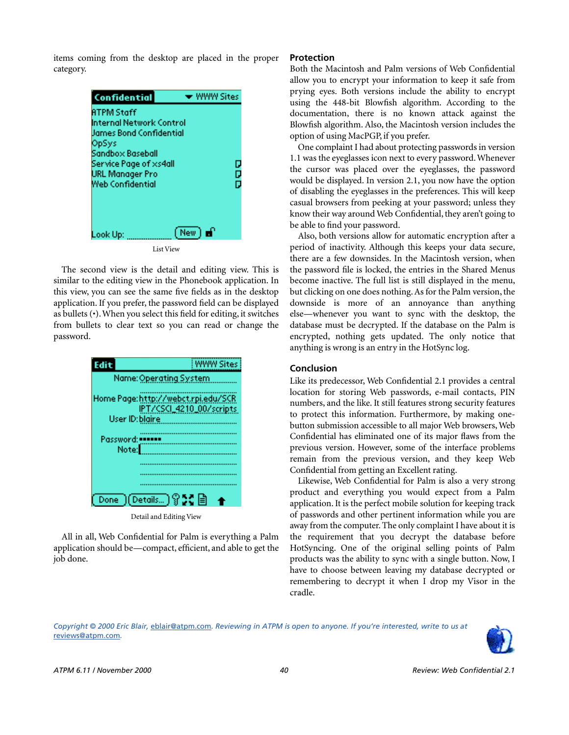items coming from the desktop are placed in the proper category.



The second view is the detail and editing view. This is similar to the editing view in the Phonebook application. In this view, you can see the same five fields as in the desktop application. If you prefer, the password field can be displayed as bullets (•). When you select this field for editing, it switches from bullets to clear text so you can read or change the password.



Detail and Editing View

All in all, Web Confidential for Palm is everything a Palm application should be—compact, efficient, and able to get the job done.

### **Protection**

Both the Macintosh and Palm versions of Web Confidential allow you to encrypt your information to keep it safe from prying eyes. Both versions include the ability to encrypt using the 448-bit Blowfish algorithm. According to the documentation, there is no known attack against the Blowfish algorithm. Also, the Macintosh version includes the option of using MacPGP, if you prefer.

One complaint I had about protecting passwords in version 1.1 was the eyeglasses icon next to every password. Whenever the cursor was placed over the eyeglasses, the password would be displayed. In version 2.1, you now have the option of disabling the eyeglasses in the preferences. This will keep casual browsers from peeking at your password; unless they know their way around Web Confidential, they aren't going to be able to find your password.

Also, both versions allow for automatic encryption after a period of inactivity. Although this keeps your data secure, there are a few downsides. In the Macintosh version, when the password file is locked, the entries in the Shared Menus become inactive. The full list is still displayed in the menu, but clicking on one does nothing. As for the Palm version, the downside is more of an annoyance than anything else—whenever you want to sync with the desktop, the database must be decrypted. If the database on the Palm is encrypted, nothing gets updated. The only notice that anything is wrong is an entry in the HotSync log.

### **Conclusion**

Like its predecessor, Web Confidential 2.1 provides a central location for storing Web passwords, e-mail contacts, PIN numbers, and the like. It still features strong security features to protect this information. Furthermore, by making onebutton submission accessible to all major Web browsers, Web Confidential has eliminated one of its major flaws from the previous version. However, some of the interface problems remain from the previous version, and they keep Web Confidential from getting an Excellent rating.

Likewise, Web Confidential for Palm is also a very strong product and everything you would expect from a Palm application. It is the perfect mobile solution for keeping track of passwords and other pertinent information while you are away from the computer. The only complaint I have about it is the requirement that you decrypt the database before HotSyncing. One of the original selling points of Palm products was the ability to sync with a single button. Now, I have to choose between leaving my database decrypted or remembering to decrypt it when I drop my Visor in the cradle.

*Copyright © 2000 Eric Blair,* [eblair@atpm.com](mailto:eblair@atpm.com)*. Reviewing in ATPM is open to anyone. If you're interested, write to us at*  [reviews@atpm.com](mailto:reviews@atpm.com)*.*

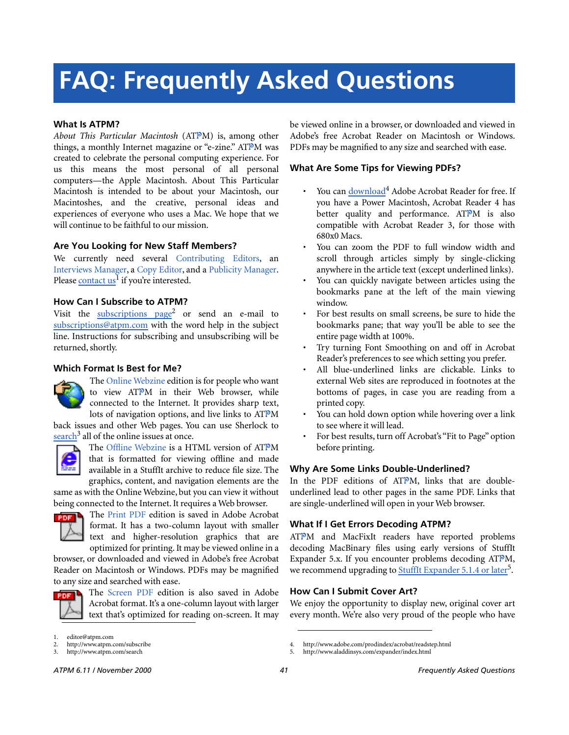# **FAQ: Frequently Asked Questions**

### **What Is ATPM?**

*About This Particular Macintosh* (ATPM) is, among other things, a monthly Internet magazine or "e-zine." ATPM was created to celebrate the personal computing experience. For us this means the most personal of all personal computers—the Apple Macintosh. About This Particular Macintosh is intended to be about your Macintosh, our Macintoshes, and the creative, personal ideas and experiences of everyone who uses a Mac. We hope that we will continue to be faithful to our mission.

### **Are You Looking for New Staff Members?**

We currently need several Contributing Editors, an Interviews Manager, a Copy Editor, and a Publicity Manager. Please [contact us](mailto:editor@atpm.com)<sup>1</sup> if you're interested.

### **How Can I Subscribe to ATPM?**

Visit the [subscriptions page](http://www.atpm.com/subscribe)<sup>2</sup> or send an e-mail to [subscriptions@atpm.com](mailto:subscriptions@atpm.com) with the word help in the subject line. Instructions for subscribing and unsubscribing will be returned, shortly.

#### **Which Format Is Best for Me?**



The Online Webzine edition is for people who want to view ATPM in their Web browser, while connected to the Internet. It provides sharp text, lots of navigation options, and live links to ATPM

back issues and other Web pages. You can use Sherlock to  $\frac{\text{search}^3}{\text{all}}$  $\frac{\text{search}^3}{\text{all}}$  $\frac{\text{search}^3}{\text{all}}$  all of the online issues at once.



The Offline Webzine is a HTML version of ATPM that is formatted for viewing offline and made available in a StuffIt archive to reduce file size. The graphics, content, and navigation elements are the

same as with the Online Webzine, but you can view it without being connected to the Internet. It requires a Web browser.



The Print PDF edition is saved in Adobe Acrobat format. It has a two-column layout with smaller text and higher-resolution graphics that are optimized for printing. It may be viewed online in a

browser, or downloaded and viewed in Adobe's free Acrobat Reader on Macintosh or Windows. PDFs may be magnified to any size and searched with ease.



The Screen PDF edition is also saved in Adobe Acrobat format. It's a one-column layout with larger text that's optimized for reading on-screen. It may be viewed online in a browser, or downloaded and viewed in Adobe's free Acrobat Reader on Macintosh or Windows. PDFs may be magnified to any size and searched with ease.

### **What Are Some Tips for Viewing PDFs?**

- You can [download](http://www.adobe.com/prodindex/acrobat/readstep.html)<sup>4</sup> Adobe Acrobat Reader for free. If you have a Power Macintosh, Acrobat Reader 4 has better quality and performance. ATPM is also compatible with Acrobat Reader 3, for those with 680x0 Macs.
- You can zoom the PDF to full window width and scroll through articles simply by single-clicking anywhere in the article text (except underlined links).
- You can quickly navigate between articles using the bookmarks pane at the left of the main viewing window.
- For best results on small screens, be sure to hide the bookmarks pane; that way you'll be able to see the entire page width at 100%.
- Try turning Font Smoothing on and off in Acrobat Reader's preferences to see which setting you prefer.
- All blue-underlined links are clickable. Links to external Web sites are reproduced in footnotes at the bottoms of pages, in case you are reading from a printed copy.
- You can hold down option while hovering over a link to see where it will lead.
- For best results, turn off Acrobat's "Fit to Page" option before printing.

#### **Why Are Some Links Double-Underlined?**

In the PDF editions of ATPM, links that are doubleunderlined lead to other pages in the same PDF. Links that are single-underlined will open in your Web browser.

### **What If I Get Errors Decoding ATPM?**

ATPM and MacFixIt readers have reported problems decoding MacBinary files using early versions of StuffIt Expander 5.x. If you encounter problems decoding ATPM, we recommend upgrading to **StuffIt Expander 5.1.4** or later<sup>5</sup>.

### **How Can I Submit Cover Art?**

We enjoy the opportunity to display new, original cover art every month. We're also very proud of the people who have

editor@atpm.com

<sup>2.</sup> http://www.atpm.com/subscribe<br>3. http://www.atpm.com/search

http://www.atpm.com/search

<sup>4.</sup> http://www.adobe.com/prodindex/acrobat/readstep.html

<sup>5.</sup> http://www.aladdinsys.com/expander/index.html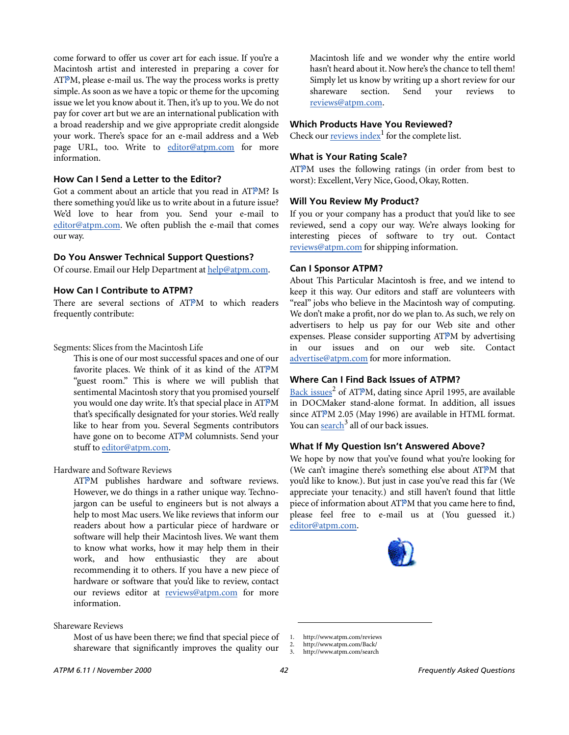come forward to offer us cover art for each issue. If you're a Macintosh artist and interested in preparing a cover for  $ATPM$ , please e-mail us. The way the process works is pretty simple. As soon as we have a topic or theme for the upcoming issue we let you know about it. Then, it's up to you. We do not pay for cover art but we are an international publication with a broad readership and we give appropriate credit alongside your work. There's space for an e-mail address and a Web page URL, too. Write to [editor@atpm.com](mailto:editor@atpm.com) for more information.

### **How Can I Send a Letter to the Editor?**

Got a comment about an article that you read in ATPM? Is there something you'd like us to write about in a future issue? We'd love to hear from you. Send your e-mail to [editor@atpm.com](mailto:editor@atpm.com). We often publish the e-mail that comes our way.

### **Do You Answer Technical Support Questions?**

Of course. Email our Help Department at [help@atpm.com.](mailto:help@atpm.com)

### **How Can I Contribute to ATPM?**

There are several sections of ATPM to which readers frequently contribute:

### Segments: Slices from the Macintosh Life

This is one of our most successful spaces and one of our favorite places. We think of it as kind of the ATPM "guest room." This is where we will publish that sentimental Macintosh story that you promised yourself you would one day write. It's that special place in ATPM that's specifically designated for your stories. We'd really like to hear from you. Several Segments contributors have gone on to become ATPM columnists. Send your stuff to [editor@atpm.com](mailto:editor@atpm.com).

### Hardware and Software Reviews

ATPM publishes hardware and software reviews. However, we do things in a rather unique way. Technojargon can be useful to engineers but is not always a help to most Mac users. We like reviews that inform our readers about how a particular piece of hardware or software will help their Macintosh lives. We want them to know what works, how it may help them in their work, and how enthusiastic they are about recommending it to others. If you have a new piece of hardware or software that you'd like to review, contact our reviews editor at [reviews@atpm.com](mailto:reviews@atpm.com) for more information.

### Shareware Reviews

Most of us have been there; we find that special piece of shareware that significantly improves the quality our

Macintosh life and we wonder why the entire world hasn't heard about it. Now here's the chance to tell them! Simply let us know by writing up a short review for our shareware section. Send your reviews to [reviews@atpm.com](mailto:reviews@atpm.com).

### **Which Products Have You Reviewed?**

Check our **reviews** index<sup>1</sup> for the complete list.

### **What is Your Rating Scale?**

ATPM uses the following ratings (in order from best to worst): Excellent, Very Nice, Good, Okay, Rotten.

### **Will You Review My Product?**

If you or your company has a product that you'd like to see reviewed, send a copy our way. We're always looking for interesting pieces of software to try out. Contact [reviews@atpm.com](mailto:reviews@atpm.com) for shipping information.

### **Can I Sponsor ATPM?**

About This Particular Macintosh is free, and we intend to keep it this way. Our editors and staff are volunteers with "real" jobs who believe in the Macintosh way of computing. We don't make a profit, nor do we plan to. As such, we rely on advertisers to help us pay for our Web site and other expenses. Please consider supporting ATPM by advertising our issues and on our web site. Contact <advertise@atpm.com>for more information.

### **Where Can I Find Back Issues of ATPM?**

[Back issues](http://www.atpm.com/Back/)<sup>2</sup> of ATPM, dating since April 1995, are available in DOCMaker stand-alone format. In addition, all issues since ATPM 2.05 (May 1996) are available in HTML format. You can [search](http://www.atpm.com/search)<sup>3</sup> all of our back issues.

### **What If My Question Isn't Answered Above?**

We hope by now that you've found what you're looking for (We can't imagine there's something else about ATPM that you'd like to know.). But just in case you've read this far (We appreciate your tenacity.) and still haven't found that little piece of information about ATPM that you came here to find, please feel free to e-mail us at (You guessed it.) [editor@atpm.com.](mailto:editor@atpm.com)



<sup>1.</sup> http://www.atpm.com/reviews

<sup>2.</sup> http://www.atpm.com/Back/<br>3. http://www.atpm.com/search

http://www.atpm.com/search